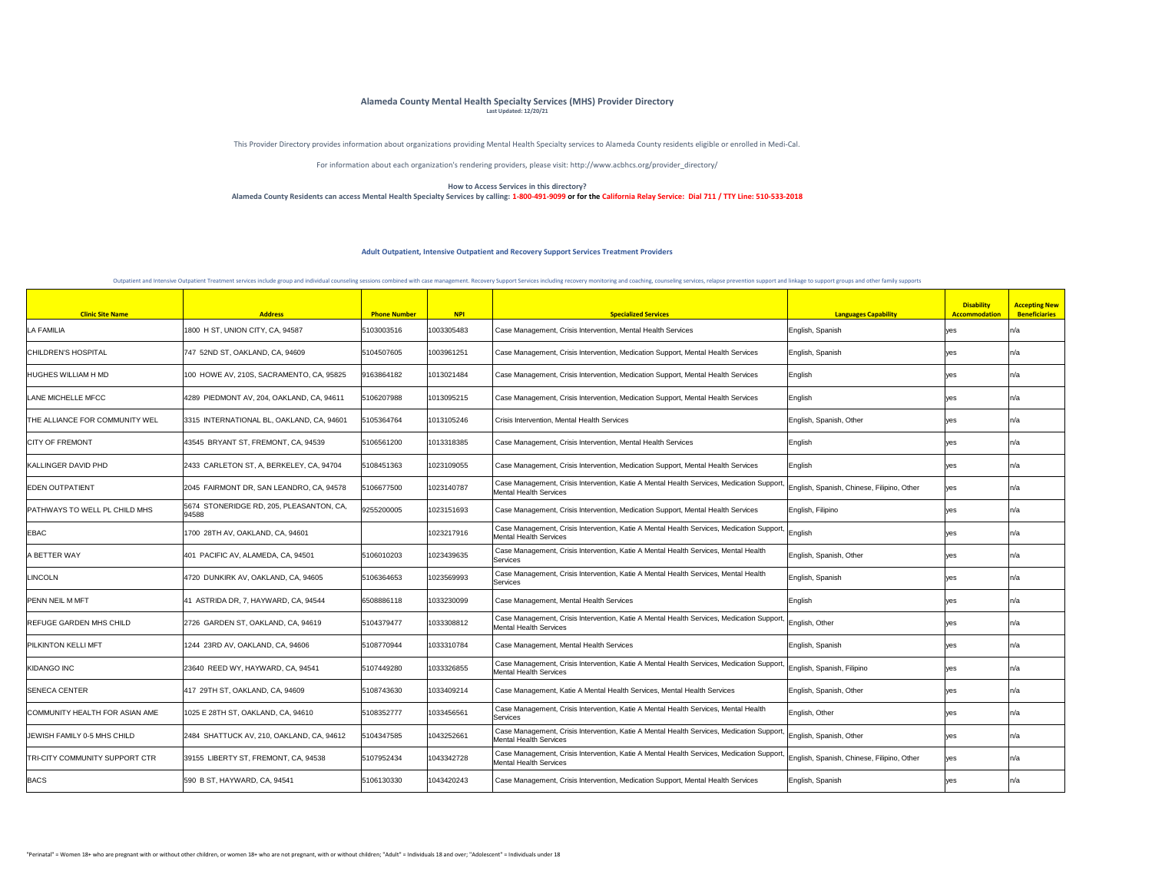| <b>Clinic Site Name</b>               | <b>Address</b>                                    | <b>Phone Number</b> | <b>NPI</b> | <b>Specialized Services</b>                                                                                                                                           | <b>Languages Capability</b>                | <b>Disability</b><br>Accommodation | <b>Accepting New</b><br><b>Beneficiaries</b> |
|---------------------------------------|---------------------------------------------------|---------------------|------------|-----------------------------------------------------------------------------------------------------------------------------------------------------------------------|--------------------------------------------|------------------------------------|----------------------------------------------|
| <b>LA FAMILIA</b>                     | 1800 H ST, UNION CITY, CA, 94587                  | 5103003516          | 1003305483 | Case Management, Crisis Intervention, Mental Health Services                                                                                                          | English, Spanish                           | ves                                |                                              |
| <b>CHILDREN'S HOSPITAL</b>            | 747 52ND ST, OAKLAND, CA, 94609                   | 5104507605          | 1003961251 | Case Management, Crisis Intervention, Medication Support, Mental Health Services                                                                                      | English, Spanish                           | ve:                                |                                              |
| HUGHES WILLIAM H MD                   | 100 HOWE AV, 210S, SACRAMENTO, CA, 95825          | 9163864182          | 1013021484 | Case Management, Crisis Intervention, Medication Support, Mental Health Services                                                                                      | English                                    |                                    |                                              |
| LANE MICHELLE MFCC                    | 4289 PIEDMONT AV, 204, OAKLAND, CA, 94611         | 5106207988          | 1013095215 | Case Management, Crisis Intervention, Medication Support, Mental Health Services                                                                                      | English                                    |                                    |                                              |
| <b>THE ALLIANCE FOR COMMUNITY WEL</b> | 3315 INTERNATIONAL BL, OAKLAND, CA, 94601         | 5105364764          | 1013105246 | <b>Crisis Intervention, Mental Health Services</b>                                                                                                                    | English, Spanish, Other                    |                                    |                                              |
| <b>CITY OF FREMONT</b>                | 43545 BRYANT ST, FREMONT, CA, 94539               | 5106561200          | 1013318385 | Case Management, Crisis Intervention, Mental Health Services                                                                                                          | <b>English</b>                             |                                    |                                              |
| KALLINGER DAVID PHD                   | 2433 CARLETON ST, A, BERKELEY, CA, 94704          | 5108451363          | 1023109055 | Case Management, Crisis Intervention, Medication Support, Mental Health Services                                                                                      | English                                    |                                    |                                              |
| <b>EDEN OUTPATIENT</b>                | 2045 FAIRMONT DR, SAN LEANDRO, CA, 94578          | 5106677500          | 1023140787 | Case Management, Crisis Intervention, Katie A Mental Health Services, Medication Support, English, Spanish, Chinese, Filipino, Other<br><b>Mental Health Services</b> |                                            | l yeə                              | I I d                                        |
| PATHWAYS TO WELL PL CHILD MHS         | 5674 STONERIDGE RD, 205, PLEASANTON, CA,<br>94588 | 9255200005          | 1023151693 | Case Management, Crisis Intervention, Medication Support, Mental Health Services                                                                                      | English, Filipino                          | ves                                |                                              |
| <b>EBAC</b>                           | 1700 28TH AV, OAKLAND, CA, 94601                  |                     | 1023217916 | Case Management, Crisis Intervention, Katie A Mental Health Services, Medication Support, English<br><b>Mental Health Services</b>                                    |                                            | ves                                |                                              |
| A BETTER WAY                          | 401 PACIFIC AV, ALAMEDA, CA, 94501                | 5106010203          | 1023439635 | Case Management, Crisis Intervention, Katie A Mental Health Services, Mental Health<br>Services                                                                       | English, Spanish, Other                    | ve:                                |                                              |
| LINCOLN                               | 4720 DUNKIRK AV, OAKLAND, CA, 94605               | 5106364653          | 1023569993 | Case Management, Crisis Intervention, Katie A Mental Health Services, Mental Health<br>Services                                                                       | English, Spanish                           |                                    |                                              |
| PENN NEIL M MFT                       | 41 ASTRIDA DR, 7, HAYWARD, CA, 94544              | 6508886118          | 1033230099 | Case Management, Mental Health Services                                                                                                                               | English                                    | yes                                |                                              |
| <b>REFUGE GARDEN MHS CHILD</b>        | 2726 GARDEN ST, OAKLAND, CA, 94619                | 5104379477          | 1033308812 | Case Management, Crisis Intervention, Katie A Mental Health Services, Medication Support, English, Other<br><b>Mental Health Services</b>                             |                                            | ves                                |                                              |
| <b>PILKINTON KELLI MFT</b>            | 1244 23RD AV, OAKLAND, CA, 94606                  | 5108770944          | 1033310784 | Case Management, Mental Health Services                                                                                                                               | English, Spanish                           |                                    |                                              |
| <b>KIDANGO INC</b>                    | 23640 REED WY, HAYWARD, CA, 94541                 | 5107449280          | 1033326855 | Case Management, Crisis Intervention, Katie A Mental Health Services, Medication Support,<br><b>Mental Health Services</b>                                            | ' English, Spanish, Filipino               |                                    |                                              |
| <b>SENECA CENTER</b>                  | 417 29TH ST, OAKLAND, CA, 94609                   | 5108743630          | 1033409214 | Case Management, Katie A Mental Health Services, Mental Health Services                                                                                               | English, Spanish, Other                    |                                    | 11/a                                         |
| COMMUNITY HEALTH FOR ASIAN AME        | 1025 E 28TH ST, OAKLAND, CA, 94610                | 5108352777          | 1033456561 | Case Management, Crisis Intervention, Katie A Mental Health Services, Mental Health<br>Services                                                                       | English, Other                             |                                    |                                              |
| JEWISH FAMILY 0-5 MHS CHILD           | 2484 SHATTUCK AV, 210, OAKLAND, CA, 94612         | 5104347585          | 1043252661 | Case Management, Crisis Intervention, Katie A Mental Health Services, Medication Support,<br><b>Mental Health Services</b>                                            | ' English, Spanish, Other                  |                                    |                                              |
| <b>TRI-CITY COMMUNITY SUPPORT CTR</b> | 39155 LIBERTY ST, FREMONT, CA, 94538              | 5107952434          | 1043342728 | Case Management, Crisis Intervention, Katie A Mental Health Services, Medication Support,<br><b>Mental Health Services</b>                                            | English, Spanish, Chinese, Filipino, Other | ves                                |                                              |
| <b>BACS</b>                           | 590 B ST, HAYWARD, CA, 94541                      | 5106130330          | 1043420243 | Case Management, Crisis Intervention, Medication Support, Mental Health Services                                                                                      | English, Spanish                           |                                    |                                              |

This Provider Directory provides information about organizations providing Mental Health Specialty services to Alameda County residents eligible or enrolled in Medi-Cal.

For information about each organization's rendering providers, please visit: http://www.acbhcs.org/provider\_directory/

## **How to Access Services in this directory? Alameda County Residents can access Mental Health Specialty Services by calling: 1-800-491-9099 or for the California Relay Service: Dial 711 / TTY Line: 510-533-2018**

## **Alameda County Mental Health Specialty Services (MHS) Provider Directory Last Updated: 12/20/21**

## **Adult Outpatient, Intensive Outpatient and Recovery Support Services Treatment Providers**

Outpatient and Intensive Outpatient Treatment services include group and individual counseling sessions combined with case management. Recovery Support Services including recovery monitoring and coaching, counseling servic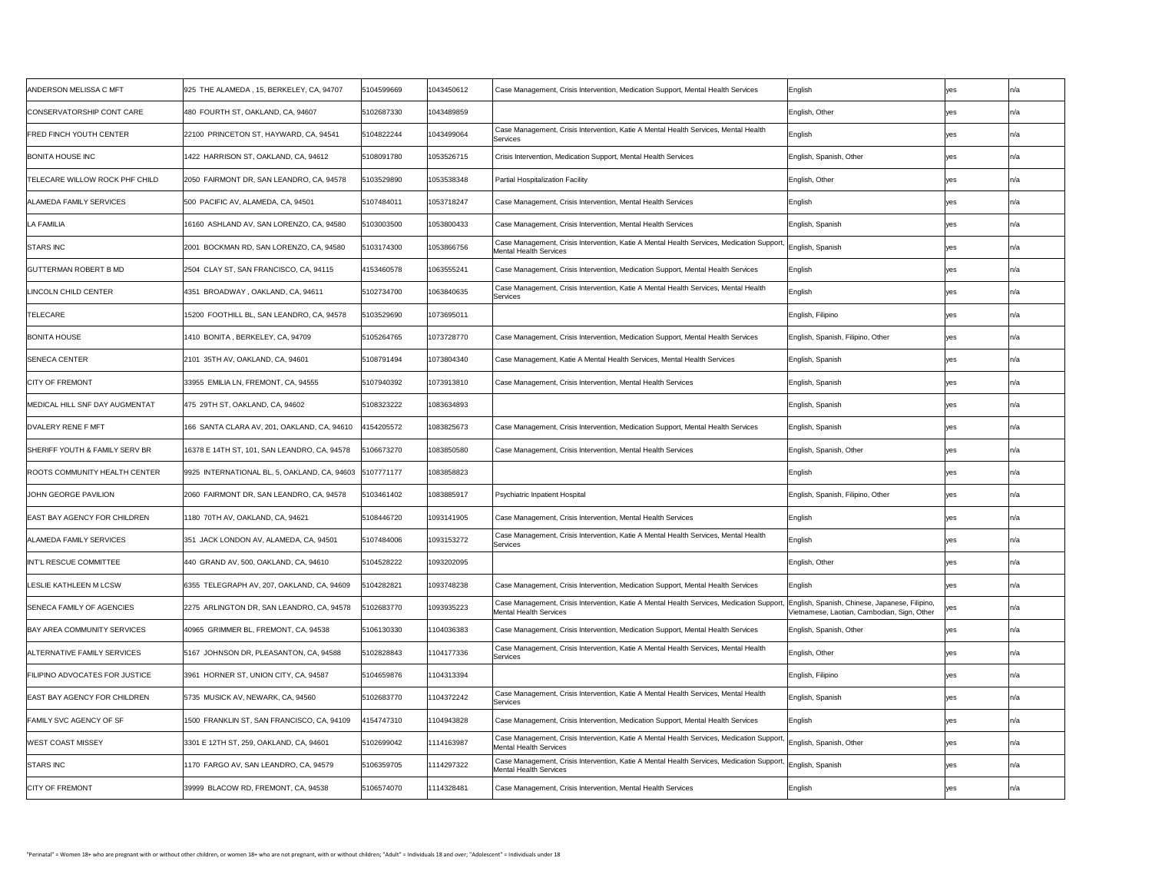| <b>ANDERSON MELISSA C MFT</b>         | 925 THE ALAMEDA, 15, BERKELEY, CA, 94707                | 5104599669 | 1043450612 | Case Management, Crisis Intervention, Medication Support, Mental Health Services                                                                                    | English                                     | yes          | ln/a |
|---------------------------------------|---------------------------------------------------------|------------|------------|---------------------------------------------------------------------------------------------------------------------------------------------------------------------|---------------------------------------------|--------------|------|
| CONSERVATORSHIP CONT CARE             | 480 FOURTH ST, OAKLAND, CA, 94607                       | 5102687330 | 1043489859 |                                                                                                                                                                     | English, Other                              | <b>yes</b>   | n/a  |
| <b>FRED FINCH YOUTH CENTER</b>        | 22100 PRINCETON ST, HAYWARD, CA, 94541                  | 5104822244 | 1043499064 | Case Management, Crisis Intervention, Katie A Mental Health Services, Mental Health<br>Services                                                                     | English                                     | yes          | ln/a |
| <b>BONITA HOUSE INC</b>               | 1422 HARRISON ST, OAKLAND, CA, 94612                    | 5108091780 | 1053526715 | Crisis Intervention, Medication Support, Mental Health Services                                                                                                     | English, Spanish, Other                     | <b>yes</b>   | ln/a |
| TELECARE WILLOW ROCK PHF CHILD        | 2050 FAIRMONT DR, SAN LEANDRO, CA, 94578                | 103529890  | 1053538348 | <b>Partial Hospitalization Facility</b>                                                                                                                             | English, Other                              | <b>Ves</b>   | ln/a |
| <b>ALAMEDA FAMILY SERVICES</b>        | 500 PACIFIC AV, ALAMEDA, CA, 94501                      | 5107484011 | 1053718247 | Case Management, Crisis Intervention, Mental Health Services                                                                                                        | English                                     | <b>yes</b>   |      |
| <b>LA FAMILIA</b>                     | 16160 ASHLAND AV, SAN LORENZO, CA, 94580                | 5103003500 | 1053800433 | Case Management, Crisis Intervention, Mental Health Services                                                                                                        | English, Spanish                            | yes          | ln/a |
| STARS INC                             | 2001 BOCKMAN RD, SAN LORENZO, CA, 94580                 | 5103174300 | 1053866756 | Case Management, Crisis Intervention, Katie A Mental Health Services, Medication Support, English, Spanish<br>Mental Health Services                                |                                             | <b>yes</b>   | In/a |
| <b>GUTTERMAN ROBERT B MD</b>          | 2504 CLAY ST, SAN FRANCISCO, CA, 94115                  | 4153460578 | 1063555241 | Case Management, Crisis Intervention, Medication Support, Mental Health Services                                                                                    | English                                     | <b>yes</b>   | ln/a |
| LINCOLN CHILD CENTER                  | 4351 BROADWAY, OAKLAND, CA, 94611                       | 5102734700 | 1063840635 | Case Management, Crisis Intervention, Katie A Mental Health Services, Mental Health<br>Services                                                                     | English                                     | yes          | ln/a |
| <b>TELECARE</b>                       | 15200 FOOTHILL BL, SAN LEANDRO, CA, 94578               | 103529690  | 1073695011 |                                                                                                                                                                     | English, Filipino                           | yes          | n/a  |
| <b>BONITA HOUSE</b>                   | 1410 BONITA , BERKELEY, CA, 94709                       | 5105264765 | 1073728770 | Case Management, Crisis Intervention, Medication Support, Mental Health Services                                                                                    | English, Spanish, Filipino, Other           | yes          | ln/a |
| <b>SENECA CENTER</b>                  | 2101 35TH AV, OAKLAND, CA, 94601                        | 5108791494 | 1073804340 | Case Management, Katie A Mental Health Services, Mental Health Services                                                                                             | English, Spanish                            | yes          | In/a |
| <b>CITY OF FREMONT</b>                | 33955 EMILIA LN, FREMONT, CA, 94555                     | 5107940392 | 1073913810 | Case Management, Crisis Intervention, Mental Health Services                                                                                                        | English, Spanish                            | <b>yes</b>   | ln/a |
| MEDICAL HILL SNF DAY AUGMENTAT        | 475  29TH ST, OAKLAND, CA, 94602                        | 5108323222 | 1083634893 |                                                                                                                                                                     | English, Spanish                            | yes          | ln/a |
| <b>DVALERY RENE F MFT</b>             | 166 SANTA CLARA AV, 201, OAKLAND, CA, 94610             | 4154205572 | 1083825673 | Case Management, Crisis Intervention, Medication Support, Mental Health Services                                                                                    | English, Spanish                            | yes          | ln/a |
| SHERIFF YOUTH & FAMILY SERV BRI       | 16378 E 14TH ST, 101, SAN LEANDRO, CA, 94578            | 5106673270 | 1083850580 | Case Management, Crisis Intervention, Mental Health Services                                                                                                        | English, Spanish, Other                     | yes          | ln/a |
| <b>ROOTS COMMUNITY HEALTH CENTER</b>  | 9925 INTERNATIONAL BL, 5, OAKLAND, CA, 94603 5107771177 |            | 1083858823 |                                                                                                                                                                     | English                                     | yes          | ln/a |
| <b>JOHN GEORGE PAVILION</b>           | 2060 FAIRMONT DR, SAN LEANDRO, CA, 94578                | 5103461402 | 1083885917 | <b>Psychiatric Inpatient Hospital</b>                                                                                                                               | English, Spanish, Filipino, Other           | yes          | ln/a |
| <b>EAST BAY AGENCY FOR CHILDREN</b>   | 1180 70TH AV, OAKLAND, CA, 94621                        | 5108446720 | 1093141905 | Case Management, Crisis Intervention, Mental Health Services                                                                                                        | English                                     | yes          | ln/a |
| <b>ALAMEDA FAMILY SERVICES</b>        | 351 JACK LONDON AV, ALAMEDA, CA, 94501                  | 5107484006 | 1093153272 | Case Management, Crisis Intervention, Katie A Mental Health Services, Mental Health<br>Services                                                                     | English                                     | yes          | ln/a |
| INT'L RESCUE COMMITTEE                | 440 GRAND AV, 500, OAKLAND, CA, 94610                   | 5104528222 | 1093202095 |                                                                                                                                                                     | English, Other                              | <b>ves</b>   | ln/a |
| <b>LESLIE KATHLEEN M LCSW</b>         | 6355 TELEGRAPH AV, 207, OAKLAND, CA, 94609              | 104282821  | 1093748238 | Case Management, Crisis Intervention, Medication Support, Mental Health Services                                                                                    | English                                     | <b>yes</b>   | ln/a |
| SENECA FAMILY OF AGENCIES             | 2275 ARLINGTON DR, SAN LEANDRO, CA, 94578               | 102683770  | 1093935223 | Case Management, Crisis Intervention, Katie A Mental Health Services, Medication Support,  English, Spanish, Chinese, Japanese, Filipino,<br>Mental Health Services | Vietnamese, Laotian, Cambodian, Sign, Other | $ {\rm yes}$ |      |
| BAY AREA COMMUNITY SERVICES           | 40965 GRIMMER BL, FREMONT, CA, 94538                    | 5106130330 | 1104036383 | Case Management, Crisis Intervention, Medication Support, Mental Health Services                                                                                    | English, Spanish, Other                     | <b>ves</b>   | ln/a |
| <b>ALTERNATIVE FAMILY SERVICES</b>    | 5167 JOHNSON DR, PLEASANTON, CA, 94588                  | 5102828843 | 1104177336 | Case Management, Crisis Intervention, Katie A Mental Health Services, Mental Health<br>Services                                                                     | English, Other                              | yes          | ln/a |
| <b>FILIPINO ADVOCATES FOR JUSTICE</b> | 3961 HORNER ST, UNION CITY, CA, 94587                   | 5104659876 | 1104313394 |                                                                                                                                                                     | English, Filipino                           | <b>yes</b>   | n/a  |
| <b>EAST BAY AGENCY FOR CHILDREN</b>   | 5735 MUSICK AV, NEWARK, CA, 94560                       | 5102683770 | 1104372242 | Case Management, Crisis Intervention, Katie A Mental Health Services, Mental Health<br>Services                                                                     | English, Spanish                            | <b>ves</b>   | ln/a |
| FAMILY SVC AGENCY OF SF               | 1500 FRANKLIN ST, SAN FRANCISCO, CA, 94109              | 4154747310 | 1104943828 | Case Management, Crisis Intervention, Medication Support, Mental Health Services                                                                                    | English                                     | <b>yes</b>   | n/a  |
| <b>WEST COAST MISSEY</b>              | 3301 E 12TH ST, 259, OAKLAND, CA, 94601                 | 5102699042 | 1114163987 | Case Management, Crisis Intervention, Katie A Mental Health Services, Medication Support, English, Spanish, Other<br>Mental Health Services                         |                                             | <b>yes</b>   | ın/a |
| <b>STARS INC</b>                      | 1170 FARGO AV, SAN LEANDRO, CA, 94579                   | 5106359705 | 1114297322 | Case Management, Crisis Intervention, Katie A Mental Health Services, Medication Support, English, Spanish<br>Mental Health Services                                |                                             | <b>yes</b>   | nza  |
| <b>CITY OF FREMONT</b>                | 39999 BLACOW RD, FREMONT, CA, 94538                     | 5106574070 | 1114328481 | Case Management, Crisis Intervention, Mental Health Services                                                                                                        | English                                     | <b>yes</b>   |      |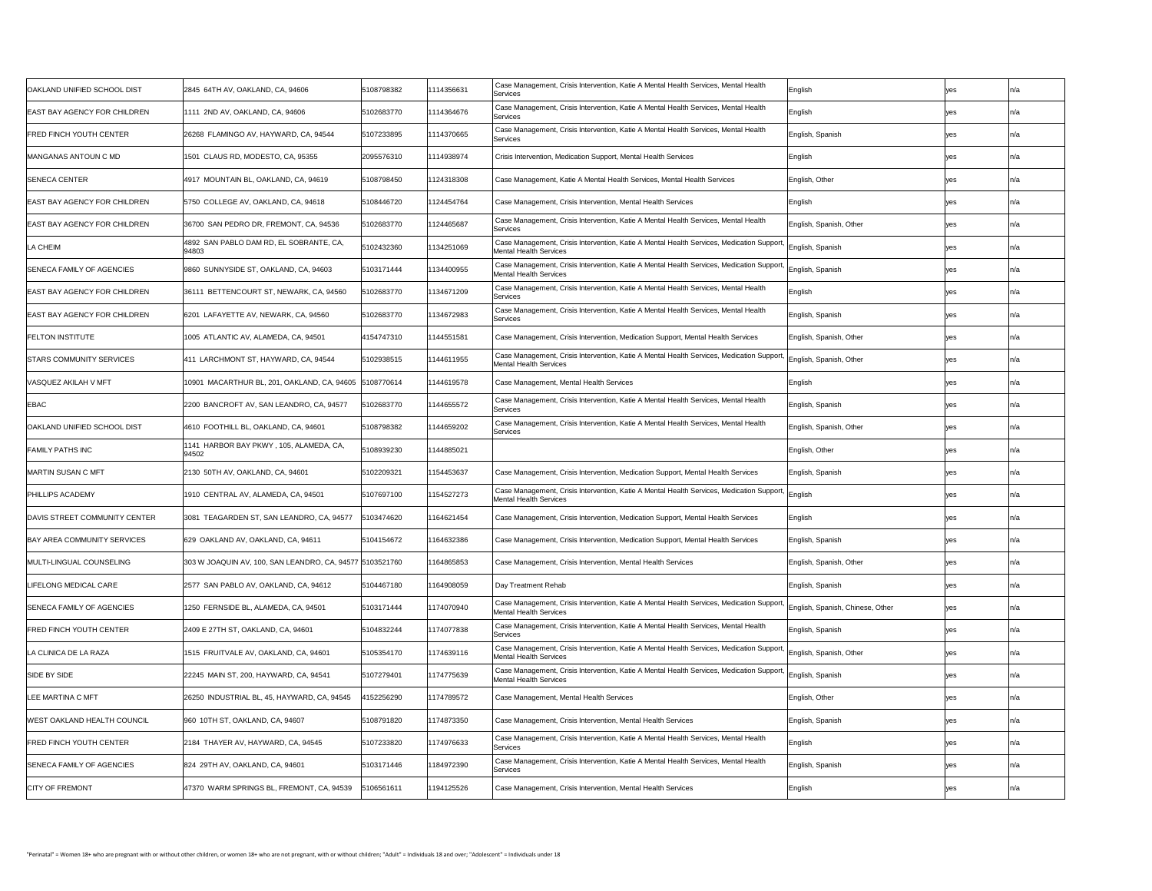| OAKLAND UNIFIED SCHOOL DIST         | 2845 64TH AV, OAKLAND, CA, 94606                          | 5108798382 | 1114356631 | Case Management, Crisis Intervention, Katie A Mental Health Services, Mental Health<br>Services                                                    | English                            |            | In/a |
|-------------------------------------|-----------------------------------------------------------|------------|------------|----------------------------------------------------------------------------------------------------------------------------------------------------|------------------------------------|------------|------|
| EAST BAY AGENCY FOR CHILDREN        | 1111 2ND AV, OAKLAND, CA, 94606                           | 5102683770 | 1114364676 | Case Management, Crisis Intervention, Katie A Mental Health Services, Mental Health<br>Services                                                    | English                            | yes        | In/a |
| <b>FRED FINCH YOUTH CENTER</b>      | 26268 FLAMINGO AV, HAYWARD, CA, 94544                     | 5107233895 | 1114370665 | Case Management, Crisis Intervention, Katie A Mental Health Services, Mental Health<br>Services                                                    | English, Spanish                   | yes        | ın/a |
| MANGANAS ANTOUN C MD                | 1501 CLAUS RD, MODESTO, CA, 95355                         | 2095576310 | 1114938974 | Crisis Intervention, Medication Support, Mental Health Services                                                                                    | English                            |            |      |
| <b>SENECA CENTER</b>                | 4917 MOUNTAIN BL, OAKLAND, CA, 94619                      | 5108798450 | 1124318308 | Case Management, Katie A Mental Health Services, Mental Health Services                                                                            | English, Other                     | ves        | In/a |
| <b>EAST BAY AGENCY FOR CHILDREN</b> | 5750 COLLEGE AV, OAKLAND, CA, 94618                       | 5108446720 | 1124454764 | Case Management, Crisis Intervention, Mental Health Services                                                                                       | English                            |            |      |
| EAST BAY AGENCY FOR CHILDREN        | 36700 SAN PEDRO DR, FREMONT, CA, 94536                    | 5102683770 | 1124465687 | Case Management, Crisis Intervention, Katie A Mental Health Services, Mental Health<br>Services                                                    | English, Spanish, Other            |            |      |
| LA CHEIM                            | 4892 SAN PABLO DAM RD, EL SOBRANTE, CA,<br>94803          | 5102432360 | 1134251069 | Case Management, Crisis Intervention, Katie A Mental Health Services, Medication Support, English, Spanish<br><b>Mental Health Services</b>        |                                    | yes        | In/a |
| SENECA FAMILY OF AGENCIES           | 9860 SUNNYSIDE ST, OAKLAND, CA, 94603                     | 5103171444 | 1134400955 | Case Management, Crisis Intervention, Katie A Mental Health Services, Medication Support, English, Spanish<br><b>Mental Health Services</b>        |                                    |            | In/a |
| EAST BAY AGENCY FOR CHILDREN        | 36111 BETTENCOURT ST, NEWARK, CA, 94560                   | 102683770  | 1134671209 | Case Management, Crisis Intervention, Katie A Mental Health Services, Mental Health<br>Services                                                    | English                            |            | In/a |
| EAST BAY AGENCY FOR CHILDREN        | 6201 LAFAYETTE AV, NEWARK, CA, 94560                      | 5102683770 | 1134672983 | Case Management, Crisis Intervention, Katie A Mental Health Services, Mental Health<br>Services                                                    | English, Spanish                   | yes        | In/a |
| <b>FELTON INSTITUTE</b>             | 1005 ATLANTIC AV, ALAMEDA, CA, 94501                      | 4154747310 | 1144551581 | Case Management, Crisis Intervention, Medication Support, Mental Health Services                                                                   | English, Spanish, Other            | yes        | In/a |
| STARS COMMUNITY SERVICES            | 411 LARCHMONT ST, HAYWARD, CA, 94544                      | 5102938515 | 1144611955 | Case Management, Crisis Intervention, Katie A Mental Health Services, Medication Support, English, Spanish, Other<br><b>Mental Health Services</b> |                                    |            | in/a |
| VASQUEZ AKILAH V MFT                | 10901 MACARTHUR BL, 201, OAKLAND, CA, 94605 5108770614    |            | 1144619578 | Case Management, Mental Health Services                                                                                                            | English                            | yes        | In/a |
| <b>EBAC</b>                         | 2200 BANCROFT AV, SAN LEANDRO, CA, 94577                  | 102683770  | 1144655572 | Case Management, Crisis Intervention, Katie A Mental Health Services, Mental Health<br>Services                                                    | English, Spanish                   | yes        |      |
| OAKLAND UNIFIED SCHOOL DIST         | 4610 FOOTHILL BL, OAKLAND, CA, 94601                      | 5108798382 | 1144659202 | Case Management, Crisis Intervention, Katie A Mental Health Services, Mental Health<br>Services                                                    | English, Spanish, Other            |            |      |
| <b>FAMILY PATHS INC</b>             | 1141 HARBOR BAY PKWY, 105, ALAMEDA, CA,<br>94502          | 5108939230 | 1144885021 |                                                                                                                                                    | English, Other                     | yes        | In/a |
| <b>IMARTIN SUSAN C MFT</b>          | 2130 50TH AV, OAKLAND, CA, 94601                          | 5102209321 | 1154453637 | Case Management, Crisis Intervention, Medication Support, Mental Health Services                                                                   | English, Spanish                   |            | In/a |
| <b>PHILLIPS ACADEMY</b>             | 1910 CENTRAL AV, ALAMEDA, CA, 94501                       | 5107697100 | 1154527273 | Case Management, Crisis Intervention, Katie A Mental Health Services, Medication Support, English<br>Mental Health Services                        |                                    |            | In/a |
| DAVIS STREET COMMUNITY CENTER       | 3081  TEAGARDEN ST, SAN LEANDRO, CA, 94577                | 103474620  | 164621454  | Case Management, Crisis Intervention, Medication Support, Mental Health Services                                                                   | English                            | yes        | In/a |
| BAY AREA COMMUNITY SERVICES         | 629 OAKLAND AV, OAKLAND, CA, 94611                        | 5104154672 | 164632386  | Case Management, Crisis Intervention, Medication Support, Mental Health Services                                                                   | English, Spanish                   | yes        | In/a |
| <b>IMULTI-LINGUAL COUNSELING</b>    | 303 W JOAQUIN AV, 100, SAN LEANDRO, CA, 94577 51103521760 |            | 164865853  | Case Management, Crisis Intervention, Mental Health Services                                                                                       | English, Spanish, Other            | ves        | ın/a |
| LIFELONG MEDICAL CARE               | 2577 SAN PABLO AV, OAKLAND, CA, 94612                     | 5104467180 | 164908059  | Day Treatment Rehab                                                                                                                                | English, Spanish                   | <b>ves</b> | In/a |
| SENECA FAMILY OF AGENCIES           | 1250 FERNSIDE BL, ALAMEDA, CA, 94501                      | 5103171444 | 1174070940 | Case Management, Crisis Intervention, Katie A Mental Health Services, Medication Support,<br>Mental Health Services                                | ' English, Spanish, Chinese, Other | yes        |      |
| <b>FRED FINCH YOUTH CENTER</b>      | 2409 E 27TH ST, OAKLAND, CA, 94601                        | 5104832244 | 1174077838 | Case Management, Crisis Intervention, Katie A Mental Health Services, Mental Health<br>Services                                                    | English, Spanish                   | ves        |      |
| LA CLINICA DE LA RAZA               | 1515 FRUITVALE AV, OAKLAND, CA, 94601                     | 5105354170 | 1174639116 | Case Management, Crisis Intervention, Katie A Mental Health Services, Medication Support, English, Spanish, Other<br>Mental Health Services        |                                    | yes        | In/a |
| <b>SIDE BY SIDE</b>                 | 22245 MAIN ST, 200, HAYWARD, CA, 94541                    | 5107279401 | 1174775639 | Case Management, Crisis Intervention, Katie A Mental Health Services, Medication Support, English, Spanish<br><b>Mental Health Services</b>        |                                    | yes        | In/a |
| <b>LEE MARTINA C MFT</b>            | 26250 INDUSTRIAL BL, 45, HAYWARD, CA, 94545               | 152256290  | 1174789572 | Case Management, Mental Health Services                                                                                                            | English, Other                     |            |      |
| WEST OAKLAND HEALTH COUNCIL         | 960 10TH ST, OAKLAND, CA, 94607                           | 5108791820 | 1174873350 | Case Management, Crisis Intervention, Mental Health Services                                                                                       | English, Spanish                   |            | n/a  |
| <b>FRED FINCH YOUTH CENTER</b>      | 2184 THAYER AV, HAYWARD, CA, 94545                        | 5107233820 | 1174976633 | Case Management, Crisis Intervention, Katie A Mental Health Services, Mental Health<br>Services                                                    | English                            | yes        | In/a |
| SENECA FAMILY OF AGENCIES           | 824 29TH AV, OAKLAND, CA, 94601                           | 5103171446 | 184972390  | Case Management, Crisis Intervention, Katie A Mental Health Services, Mental Health<br>Services                                                    | English, Spanish                   |            |      |
| <b>CITY OF FREMONT</b>              | 47370 WARM SPRINGS BL, FREMONT, CA, 94539                 | 5106561611 | 1194125526 | Case Management, Crisis Intervention, Mental Health Services                                                                                       | English                            | yes        |      |
|                                     |                                                           |            |            |                                                                                                                                                    |                                    |            |      |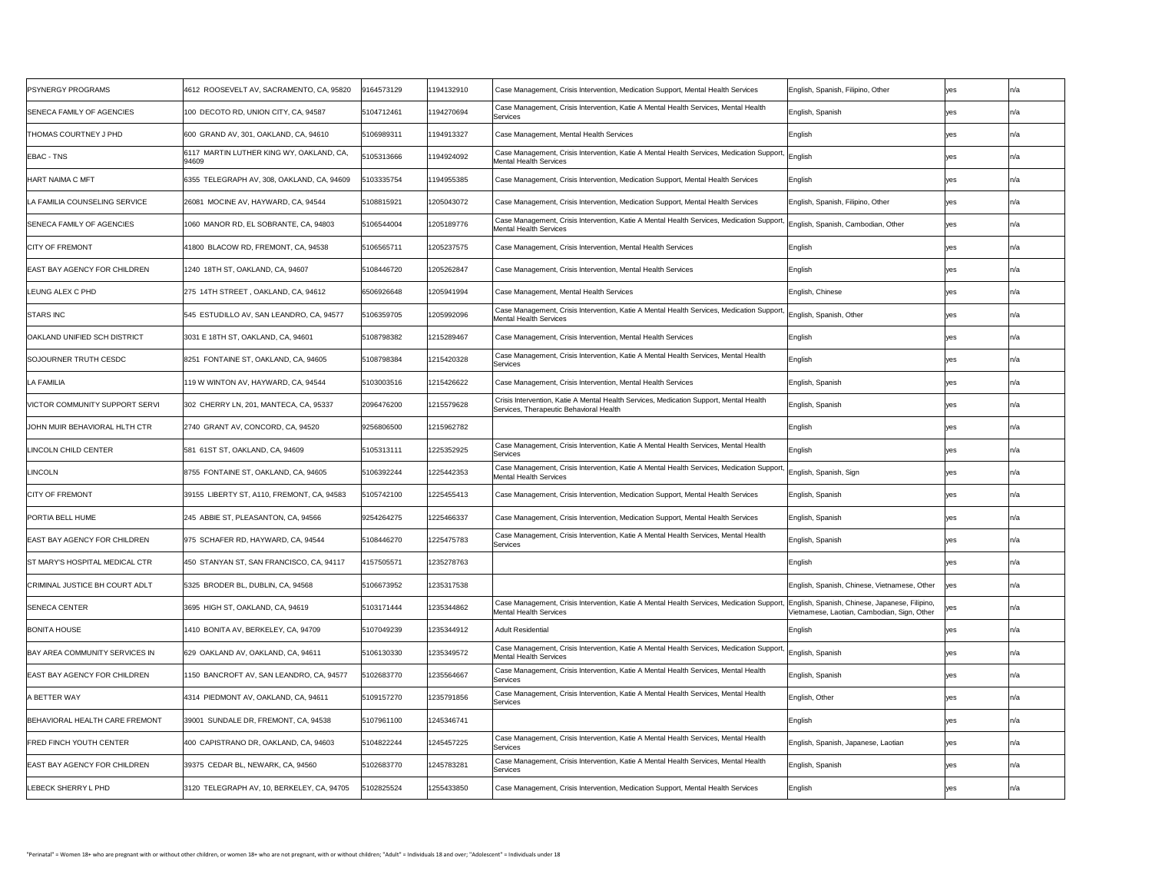| <b>PSYNERGY PROGRAMS</b>              | 4612 ROOSEVELT AV, SACRAMENTO, CA, 95820          | 9164573129 | 1194132910 | Case Management, Crisis Intervention, Medication Support, Mental Health Services                                                                                           | English, Spanish, Filipino, Other            | ves         | In/a             |
|---------------------------------------|---------------------------------------------------|------------|------------|----------------------------------------------------------------------------------------------------------------------------------------------------------------------------|----------------------------------------------|-------------|------------------|
| <b>SENECA FAMILY OF AGENCIES</b>      | 100 DECOTO RD, UNION CITY, CA, 94587              | 5104712461 | 194270694  | Case Management, Crisis Intervention, Katie A Mental Health Services, Mental Health<br>Services                                                                            | English, Spanish                             |             |                  |
| <b>THOMAS COURTNEY J PHD</b>          | 600 GRAND AV, 301, OAKLAND, CA, 94610             | 5106989311 | 1194913327 | Case Management, Mental Health Services                                                                                                                                    | English                                      |             |                  |
| <b>EBAC - TNS</b>                     | 6117 MARTIN LUTHER KING WY, OAKLAND, CA,<br>94609 | 5105313666 | 1194924092 | Case Management, Crisis Intervention, Katie A Mental Health Services, Medication Support, English<br>Mental Health Services                                                |                                              |             |                  |
| <b>HART NAIMA C MFT</b>               | 6355 TELEGRAPH AV, 308, OAKLAND, CA, 94609        | 103335754  | 1194955385 | Case Management, Crisis Intervention, Medication Support, Mental Health Services                                                                                           | English                                      |             |                  |
| LA FAMILIA COUNSELING SERVICE         | 26081 MOCINE AV, HAYWARD, CA, 94544               | 5108815921 | 1205043072 | Case Management, Crisis Intervention, Medication Support, Mental Health Services                                                                                           | English, Spanish, Filipino, Other            |             |                  |
| <b>SENECA FAMILY OF AGENCIES</b>      | 1060 MANOR RD, EL SOBRANTE, CA, 94803             | 5106544004 | 1205189776 | Case Management, Crisis Intervention, Katie A Mental Health Services, Medication Support, English, Spanish, Cambodian, Other<br>Mental Health Services                     |                                              | ves         |                  |
| <b>CITY OF FREMONT</b>                | 41800 BLACOW RD, FREMONT, CA, 94538               | 5106565711 | 1205237575 | Case Management, Crisis Intervention, Mental Health Services                                                                                                               | English                                      |             |                  |
| <b>EAST BAY AGENCY FOR CHILDREN</b>   | 1240_18TH ST, OAKLAND, CA, 94607_                 | 5108446720 | 1205262847 | Case Management, Crisis Intervention, Mental Health Services                                                                                                               | English                                      |             |                  |
| LEUNG ALEX C PHD                      | 275 14TH STREET, OAKLAND, CA, 94612               | 6506926648 | 1205941994 | Case Management, Mental Health Services                                                                                                                                    | English, Chinese                             |             | In/a             |
| <b>STARS INC</b>                      | 545 ESTUDILLO AV, SAN LEANDRO, CA, 94577          | 5106359705 | 1205992096 | Case Management, Crisis Intervention, Katie A Mental Health Services, Medication Support, English, Spanish, Other<br><b>Mental Health Services</b>                         |                                              |             |                  |
| OAKLAND UNIFIED SCH DISTRICT          | 3031 E 18TH ST, OAKLAND, CA, 94601                | 5108798382 | 1215289467 | Case Management, Crisis Intervention, Mental Health Services                                                                                                               | English                                      |             |                  |
| SOJOURNER TRUTH CESDC                 | 8251 FONTAINE ST, OAKLAND, CA, 94605              | 5108798384 | 1215420328 | Case Management, Crisis Intervention, Katie A Mental Health Services, Mental Health<br>Services                                                                            | English                                      |             |                  |
| LA FAMILIA                            | 119 W WINTON AV, HAYWARD, CA, 94544               | 5103003516 | 1215426622 | Case Management, Crisis Intervention, Mental Health Services                                                                                                               | English, Spanish                             |             | In/a             |
| <b>VICTOR COMMUNITY SUPPORT SERVI</b> | 302 CHERRY LN, 201, MANTECA, CA, 95337            | 2096476200 | 1215579628 | Crisis Intervention, Katie A Mental Health Services, Medication Support, Mental Health<br>Services, Therapeutic Behavioral Health                                          | English, Spanish                             |             |                  |
| JOHN MUIR BEHAVIORAL HLTH CTR         | 2740 GRANT AV, CONCORD, CA, 94520                 | 9256806500 | 1215962782 |                                                                                                                                                                            | English                                      |             | In/a             |
| LINCOLN CHILD CENTER                  | 581 61ST ST, OAKLAND, CA, 94609                   | 5105313111 | 1225352925 | Case Management, Crisis Intervention, Katie A Mental Health Services, Mental Health<br>Services                                                                            | English                                      |             |                  |
| LINCOLN                               | 8755 FONTAINE ST, OAKLAND, CA, 94605              | 5106392244 | 1225442353 | Case Management, Crisis Intervention, Katie A Mental Health Services, Medication Support, English, Spanish, Sign<br><b>Mental Health Services</b>                          |                                              |             |                  |
| <b>CITY OF FREMONT</b>                | 39155 LIBERTY ST, A110, FREMONT, CA, 94583        | 5105742100 | 1225455413 | Case Management, Crisis Intervention, Medication Support, Mental Health Services                                                                                           | English, Spanish                             |             | In/a             |
| <b>PORTIA BELL HUME</b>               | 245 ABBIE ST, PLEASANTON, CA, 94566               | 9254264275 | 1225466337 | Case Management, Crisis Intervention, Medication Support, Mental Health Services                                                                                           | English, Spanish                             |             |                  |
| EAST BAY AGENCY FOR CHILDREN          | 975 SCHAFER RD, HAYWARD, CA, 94544                | 5108446270 | 1225475783 | Case Management, Crisis Intervention, Katie A Mental Health Services, Mental Health<br>Services                                                                            | English, Spanish                             |             |                  |
| IST MARY'S HOSPITAL MEDICAL CTR       | 450 STANYAN ST, SAN FRANCISCO, CA, 94117          | 4157505571 | 1235278763 |                                                                                                                                                                            | English                                      |             |                  |
| CRIMINAL JUSTICE BH COURT ADLT        | 5325 BRODER BL, DUBLIN, CA, 94568                 | 5106673952 | 1235317538 |                                                                                                                                                                            | English, Spanish, Chinese, Vietnamese, Other |             |                  |
| <b>SENECA CENTER</b>                  | 3695 HIGH ST, OAKLAND, CA, 94619                  | 5103171444 | 1235344862 | Case Management, Crisis Intervention, Katie A Mental Health Services, Medication Support,  English, Spanish, Chinese, Japanese, Filipino,<br><b>Mental Health Services</b> | Vietnamese, Laotian, Cambodian, Sign, Other  | <b>Ives</b> |                  |
| <b>BONITA HOUSE</b>                   | 1410 BONITA AV, BERKELEY, CA, 94709               | 5107049239 | 1235344912 | <b>Adult Residential</b>                                                                                                                                                   | English                                      |             | $ln/\varepsilon$ |
| BAY AREA COMMUNITY SERVICES IN        | 629 OAKLAND AV, OAKLAND, CA, 94611                | 5106130330 | 1235349572 | Case Management, Crisis Intervention, Katie A Mental Health Services, Medication Support, English, Spanish<br>Mental Health Services                                       |                                              |             |                  |
| <b>EAST BAY AGENCY FOR CHILDREN</b>   | 1150 BANCROFT AV, SAN LEANDRO, CA, 94577          | 5102683770 | 1235564667 | Case Management, Crisis Intervention, Katie A Mental Health Services, Mental Health<br>Services                                                                            | English, Spanish                             |             |                  |
| A BETTER WAY                          | 4314 PIEDMONT AV, OAKLAND, CA, 94611              | 5109157270 | 1235791856 | Case Management, Crisis Intervention, Katie A Mental Health Services, Mental Health<br>Services                                                                            | English, Other                               |             | In/a             |
| BEHAVIORAL HEALTH CARE FREMONT        | 39001 SUNDALE DR, FREMONT, CA, 94538              | 5107961100 | 1245346741 |                                                                                                                                                                            | English                                      |             |                  |
| <b>FRED FINCH YOUTH CENTER</b>        | 400 CAPISTRANO DR, OAKLAND, CA, 94603             | 5104822244 | 1245457225 | Case Management, Crisis Intervention, Katie A Mental Health Services, Mental Health<br>Services                                                                            | English, Spanish, Japanese, Laotian          | ves         |                  |
| EAST BAY AGENCY FOR CHILDREN          | 39375 CEDAR BL, NEWARK, CA, 94560                 | 5102683770 | 1245783281 | Case Management, Crisis Intervention, Katie A Mental Health Services, Mental Health<br>Services                                                                            | English, Spanish                             |             |                  |
| LEBECK SHERRY L PHD                   | 3120 TELEGRAPH AV, 10, BERKELEY, CA, 94705        | 5102825524 | 1255433850 | Case Management, Crisis Intervention, Medication Support, Mental Health Services                                                                                           | English                                      |             |                  |
|                                       |                                                   |            |            |                                                                                                                                                                            |                                              |             |                  |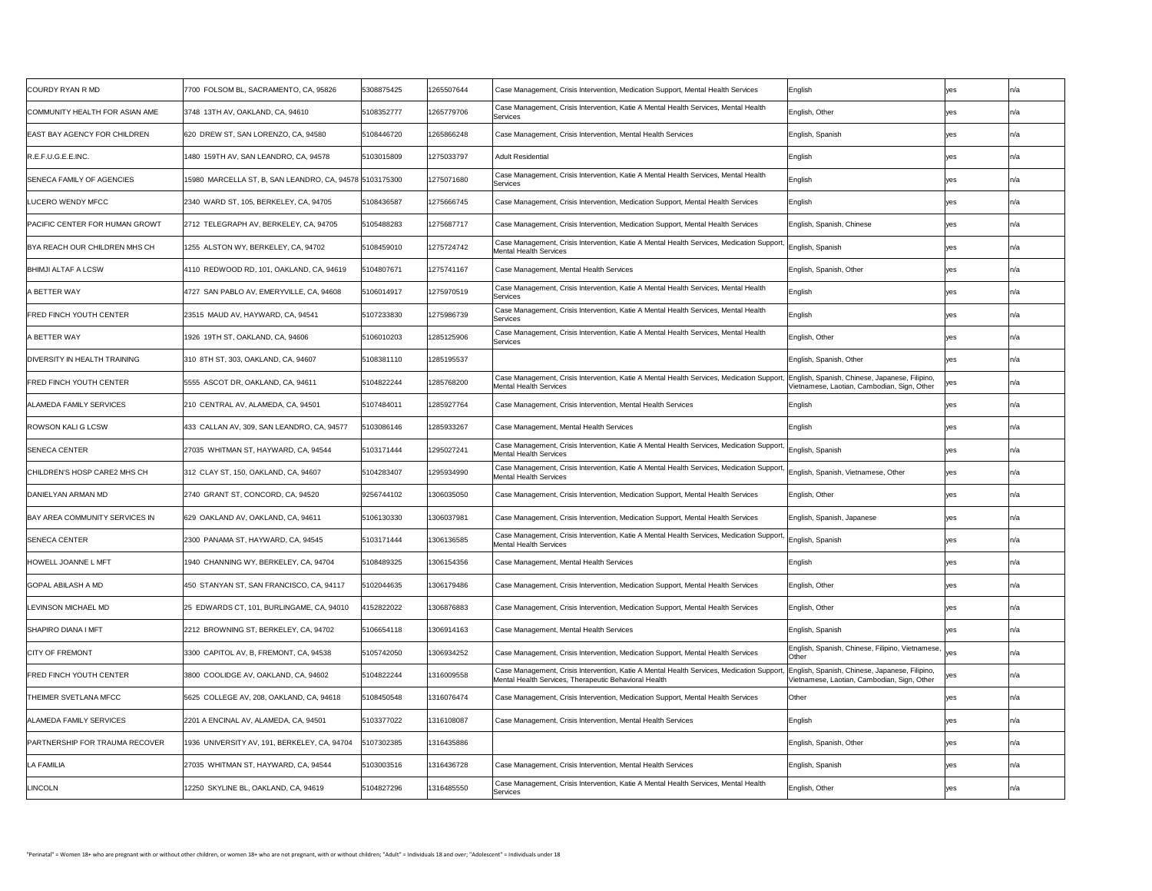| <b>COURDY RYAN R MD</b>               | 7700 FOLSOM BL, SACRAMENTO, CA, 95826                   | 5308875425 | 1265507644 | Case Management, Crisis Intervention, Medication Support, Mental Health Services                                                          |
|---------------------------------------|---------------------------------------------------------|------------|------------|-------------------------------------------------------------------------------------------------------------------------------------------|
| COMMUNITY HEALTH FOR ASIAN AME        | 3748 13TH AV, OAKLAND, CA, 94610                        | 5108352777 | 1265779706 | Case Management, Crisis Intervention, Katie A Mental Health Services, Mental Hea<br>Services                                              |
| <b>EAST BAY AGENCY FOR CHILDREN</b>   | 620 DREW ST, SAN LORENZO, CA, 94580                     | 5108446720 | 1265866248 | Case Management, Crisis Intervention, Mental Health Services                                                                              |
| R.E.F.U.G.E.E.INC.                    | 1480 159TH AV, SAN LEANDRO, CA, 94578                   | 5103015809 | 1275033797 | <b>Adult Residential</b>                                                                                                                  |
| <b>SENECA FAMILY OF AGENCIES</b>      | 15980 MARCELLA ST, B, SAN LEANDRO, CA, 94578 5103175300 |            | 1275071680 | Case Management, Crisis Intervention, Katie A Mental Health Services, Mental Hea<br>Services                                              |
| LUCERO WENDY MFCC                     | 2340 WARD ST, 105, BERKELEY, CA, 94705                  | 5108436587 | 1275666745 | Case Management, Crisis Intervention, Medication Support, Mental Health Services                                                          |
| <b>PACIFIC CENTER FOR HUMAN GROWT</b> | 2712 TELEGRAPH AV, BERKELEY, CA, 94705                  | 5105488283 | 1275687717 | Case Management, Crisis Intervention, Medication Support, Mental Health Services                                                          |
| BYA REACH OUR CHILDREN MHS CH         | 1255 ALSTON WY, BERKELEY, CA, 94702                     | 5108459010 | 1275724742 | Case Management, Crisis Intervention, Katie A Mental Health Services, Medication<br><b>Mental Health Services</b>                         |
| <b>BHIMJI ALTAF A LCSW</b>            | 4110 REDWOOD RD, 101, OAKLAND, CA, 94619                | 5104807671 | 1275741167 | Case Management, Mental Health Services                                                                                                   |
| A BETTER WAY                          | 4727 SAN PABLO AV, EMERYVILLE, CA, 94608                | 5106014917 | 1275970519 | Case Management, Crisis Intervention, Katie A Mental Health Services, Mental Hea<br>Services                                              |
| <b>FRED FINCH YOUTH CENTER</b>        | 23515 MAUD AV, HAYWARD, CA, 94541                       | 5107233830 | 1275986739 | Case Management, Crisis Intervention, Katie A Mental Health Services, Mental Hea<br>Services                                              |
| A BETTER WAY                          | 1926 19TH ST, OAKLAND, CA, 94606                        | 5106010203 | 1285125906 | Case Management, Crisis Intervention, Katie A Mental Health Services, Mental Hea<br>Services                                              |
| <b>DIVERSITY IN HEALTH TRAINING</b>   | 310 8TH ST, 303, OAKLAND, CA, 94607                     | 5108381110 | 1285195537 |                                                                                                                                           |
| FRED FINCH YOUTH CENTER               | 5555 ASCOT DR, OAKLAND, CA, 94611                       | 5104822244 | 1285768200 | Case Management, Crisis Intervention, Katie A Mental Health Services, Medication<br><b>Mental Health Services</b>                         |
| ALAMEDA FAMILY SERVICES               | 210 CENTRAL AV, ALAMEDA, CA, 94501                      | 5107484011 | 1285927764 | Case Management, Crisis Intervention, Mental Health Services                                                                              |
| <b>ROWSON KALI G LCSW</b>             | 433 CALLAN AV, 309, SAN LEANDRO, CA, 94577              | 5103086146 | 1285933267 | Case Management, Mental Health Services                                                                                                   |
| <b>SENECA CENTER</b>                  | 27035 WHITMAN ST, HAYWARD, CA, 94544                    | 5103171444 | 1295027241 | Case Management, Crisis Intervention, Katie A Mental Health Services, Medication<br><b>Mental Health Services</b>                         |
| CHILDREN'S HOSP CARE2 MHS CH          | 312 CLAY ST, 150, OAKLAND, CA, 94607                    | 5104283407 | 1295934990 | Case Management, Crisis Intervention, Katie A Mental Health Services, Medication<br><b>Mental Health Services</b>                         |
| DANIELYAN ARMAN MD                    | 2740 GRANT ST, CONCORD, CA, 94520                       | 9256744102 | 1306035050 | Case Management, Crisis Intervention, Medication Support, Mental Health Services                                                          |
| <b>BAY AREA COMMUNITY SERVICES IN</b> | 629 OAKLAND AV, OAKLAND, CA, 94611                      | 5106130330 | 1306037981 | Case Management, Crisis Intervention, Medication Support, Mental Health Services                                                          |
| <b>SENECA CENTER</b>                  | 2300 PANAMA ST, HAYWARD, CA, 94545                      | 5103171444 | 1306136585 | Case Management, Crisis Intervention, Katie A Mental Health Services, Medication<br><b>Mental Health Services</b>                         |
| HOWELL JOANNE L MFT                   | 1940 CHANNING WY, BERKELEY, CA, 94704                   | 5108489325 | 1306154356 | Case Management, Mental Health Services                                                                                                   |
| <b>GOPAL ABILASH A MD</b>             | 450 STANYAN ST, SAN FRANCISCO, CA, 94117                | 5102044635 | 1306179486 | Case Management, Crisis Intervention, Medication Support, Mental Health Services                                                          |
| <b>ILEVINSON MICHAEL MD</b>           | 25 EDWARDS CT, 101, BURLINGAME, CA, 94010               | 4152822022 | 1306876883 | Case Management, Crisis Intervention, Medication Support, Mental Health Services                                                          |
| <b>SHAPIRO DIANA I MFT</b>            | 2212 BROWNING ST, BERKELEY, CA, 94702                   | 5106654118 | 1306914163 | Case Management, Mental Health Services                                                                                                   |
| <b>CITY OF FREMONT</b>                | 3300 CAPITOL AV, B, FREMONT, CA, 94538                  | 5105742050 | 1306934252 | Case Management, Crisis Intervention, Medication Support, Mental Health Services                                                          |
| <b>FRED FINCH YOUTH CENTER</b>        | 3800 COOLIDGE AV, OAKLAND, CA, 94602                    | 5104822244 | 1316009558 | Case Management, Crisis Intervention, Katie A Mental Health Services, Medication<br>Mental Health Services, Therapeutic Behavioral Health |
| <b>THEIMER SVETLANA MFCC</b>          | 5625 COLLEGE AV, 208, OAKLAND, CA, 94618                | 5108450548 | 1316076474 | Case Management, Crisis Intervention, Medication Support, Mental Health Services                                                          |
| <b>ALAMEDA FAMILY SERVICES</b>        | 2201 A ENCINAL AV, ALAMEDA, CA, 94501                   | 5103377022 | 1316108087 | Case Management, Crisis Intervention, Mental Health Services                                                                              |
| PARTNERSHIP FOR TRAUMA RECOVER        | 1936 UNIVERSITY AV, 191, BERKELEY, CA, 94704            | 5107302385 | 1316435886 |                                                                                                                                           |
| <b>LA FAMILIA</b>                     | 27035 WHITMAN ST, HAYWARD, CA, 94544                    | 5103003516 | 1316436728 | Case Management, Crisis Intervention, Mental Health Services                                                                              |
| <b>LINCOLN</b>                        | 12250 SKYLINE BL, OAKLAND, CA, 94619                    | 5104827296 | 1316485550 | Case Management, Crisis Intervention, Katie A Mental Health Services, Mental Hea<br>Services                                              |

| COURDY RYAN R MD               | 7700 FOLSOM BL, SACRAMENTO, CA, 95826                   | 5308875425 | 1265507644 | Case Management, Crisis Intervention, Medication Support, Mental Health Services                                                                                           | English                                                                                       |      | In/a |
|--------------------------------|---------------------------------------------------------|------------|------------|----------------------------------------------------------------------------------------------------------------------------------------------------------------------------|-----------------------------------------------------------------------------------------------|------|------|
| COMMUNITY HEALTH FOR ASIAN AME | 3748 13TH AV, OAKLAND, CA, 94610                        | 5108352777 | 1265779706 | Case Management, Crisis Intervention, Katie A Mental Health Services, Mental Health<br>Services                                                                            | English, Other                                                                                |      | In/a |
| EAST BAY AGENCY FOR CHILDREN   | 620 DREW ST, SAN LORENZO, CA, 94580                     | 5108446720 | 1265866248 | Case Management, Crisis Intervention, Mental Health Services                                                                                                               | English, Spanish                                                                              |      |      |
| R.E.F.U.G.E.E.INC.             | 1480 159TH AV, SAN LEANDRO, CA, 94578                   | 5103015809 | 1275033797 | <b>Adult Residential</b>                                                                                                                                                   | English                                                                                       |      |      |
| SENECA FAMILY OF AGENCIES      | 15980 MARCELLA ST, B, SAN LEANDRO, CA, 94578 5103175300 |            | 1275071680 | Case Management, Crisis Intervention, Katie A Mental Health Services, Mental Health<br>Services                                                                            | English                                                                                       |      | In/a |
| LUCERO WENDY MFCC              | 2340 WARD ST, 105, BERKELEY, CA, 94705                  | 5108436587 | 1275666745 | Case Management, Crisis Intervention, Medication Support, Mental Health Services                                                                                           | English                                                                                       |      | In/a |
| PACIFIC CENTER FOR HUMAN GROWT | 2712 TELEGRAPH AV, BERKELEY, CA, 94705                  | 5105488283 | 1275687717 | Case Management, Crisis Intervention, Medication Support, Mental Health Services                                                                                           | English, Spanish, Chinese                                                                     |      | ın/a |
| BYA REACH OUR CHILDREN MHS CH  | 1255 ALSTON WY, BERKELEY, CA, 94702                     | 5108459010 | 1275724742 | Case Management, Crisis Intervention, Katie A Mental Health Services, Medication Support, English, Spanish<br>Mental Health Services                                       |                                                                                               |      |      |
| <b>BHIMJI ALTAF A LCSW</b>     | 4110 REDWOOD RD, 101, OAKLAND, CA, 94619                | 5104807671 | 1275741167 | Case Management, Mental Health Services                                                                                                                                    | English, Spanish, Other                                                                       |      |      |
| A BETTER WAY                   | 4727 SAN PABLO AV, EMERYVILLE, CA, 94608                | 5106014917 | 1275970519 | Case Management, Crisis Intervention, Katie A Mental Health Services, Mental Health<br>Services                                                                            | English                                                                                       |      | In/a |
| FRED FINCH YOUTH CENTER        | 23515 MAUD AV, HAYWARD, CA, 94541                       | 5107233830 | 1275986739 | Case Management, Crisis Intervention, Katie A Mental Health Services, Mental Health<br><b>Services</b>                                                                     | English                                                                                       |      | In/a |
| A BETTER WAY                   | 1926 19TH ST, OAKLAND, CA, 94606                        | 5106010203 | 1285125906 | Case Management, Crisis Intervention, Katie A Mental Health Services, Mental Health<br>Services                                                                            | English, Other                                                                                |      |      |
| DIVERSITY IN HEALTH TRAINING   | 310 8TH ST, 303, OAKLAND, CA, 94607                     | 5108381110 | 1285195537 |                                                                                                                                                                            | English, Spanish, Other                                                                       |      |      |
| FRED FINCH YOUTH CENTER        | 5555 ASCOT DR, OAKLAND, CA, 94611                       | 5104822244 | 1285768200 | Case Management, Crisis Intervention, Katie A Mental Health Services, Medication Support,  English, Spanish, Chinese, Japanese, Filipino,<br><b>Mental Health Services</b> | Vietnamese, Laotian, Cambodian, Sign, Other                                                   |      |      |
| ALAMEDA FAMILY SERVICES        | 210 CENTRAL AV, ALAMEDA, CA, 94501                      | 5107484011 | 1285927764 | Case Management, Crisis Intervention, Mental Health Services                                                                                                               | English                                                                                       |      | In/a |
| <b>ROWSON KALI G LCSW</b>      | 433 CALLAN AV, 309, SAN LEANDRO, CA, 94577              | 5103086146 | 1285933267 | Case Management, Mental Health Services                                                                                                                                    | English                                                                                       |      | In/a |
| <b>SENECA CENTER</b>           | 27035 WHITMAN ST, HAYWARD, CA, 94544                    | 5103171444 | 1295027241 | Case Management, Crisis Intervention, Katie A Mental Health Services, Medication Support, English, Spanish<br><b>Mental Health Services</b>                                |                                                                                               |      |      |
| CHILDREN'S HOSP CARE2 MHS CH   | 312 CLAY ST, 150, OAKLAND, CA, 94607                    | 5104283407 | 1295934990 | Case Management, Crisis Intervention, Katie A Mental Health Services, Medication Support,<br><b>Mental Health Services</b>                                                 | English, Spanish, Vietnamese, Other                                                           | yes  |      |
| DANIELYAN ARMAN MD             | 2740 GRANT ST, CONCORD, CA, 94520                       | 9256744102 | 1306035050 | Case Management, Crisis Intervention, Medication Support, Mental Health Services                                                                                           | English, Other                                                                                |      | In/a |
| BAY AREA COMMUNITY SERVICES IN | 629 OAKLAND AV, OAKLAND, CA, 94611                      | 5106130330 | 1306037981 | Case Management, Crisis Intervention, Medication Support, Mental Health Services                                                                                           | English, Spanish, Japanese                                                                    |      |      |
| <b>SENECA CENTER</b>           | 2300 PANAMA ST, HAYWARD, CA, 94545                      | 5103171444 | 1306136585 | Case Management, Crisis Intervention, Katie A Mental Health Services, Medication Support, English, Spanish<br><b>Mental Health Services</b>                                |                                                                                               |      | In/a |
| <b>HOWELL JOANNE L MFT</b>     | 1940 CHANNING WY, BERKELEY, CA, 94704                   | 5108489325 | 1306154356 | Case Management, Mental Health Services                                                                                                                                    | English                                                                                       | ves  |      |
| GOPAL ABILASH A MD             | 450 STANYAN ST, SAN FRANCISCO, CA, 94117                | 5102044635 | 1306179486 | Case Management, Crisis Intervention, Medication Support, Mental Health Services                                                                                           | English, Other                                                                                |      |      |
| LEVINSON MICHAEL MD            | 25 EDWARDS CT, 101, BURLINGAME, CA, 94010               | 4152822022 | 1306876883 | Case Management, Crisis Intervention, Medication Support, Mental Health Services                                                                                           | English, Other                                                                                |      | In/a |
| <b>SHAPIRO DIANA I MFT</b>     | 2212 BROWNING ST, BERKELEY, CA, 94702                   | 5106654118 | 1306914163 | Case Management, Mental Health Services                                                                                                                                    | English, Spanish                                                                              |      | In/a |
| <b>CITY OF FREMONT</b>         | 3300 CAPITOL AV, B, FREMONT, CA, 94538                  | 5105742050 | 1306934252 | Case Management, Crisis Intervention, Medication Support, Mental Health Services                                                                                           | English, Spanish, Chinese, Filipino, Vietnamese,  <br><b>Other</b>                            |      |      |
| FRED FINCH YOUTH CENTER        | 3800 COOLIDGE AV, OAKLAND, CA, 94602                    | 5104822244 | 1316009558 | Case Management, Crisis Intervention, Katie A Mental Health Services, Medication Support,<br>Mental Health Services, Therapeutic Behavioral Health                         | English, Spanish, Chinese, Japanese, Filipino,<br>Vietnamese, Laotian, Cambodian, Sign, Other | lyes | In/a |
| THEIMER SVETLANA MFCC          | 5625 COLLEGE AV, 208, OAKLAND, CA, 94618                | 5108450548 | 1316076474 | Case Management, Crisis Intervention, Medication Support, Mental Health Services                                                                                           | <b>Other</b>                                                                                  |      | In/a |
| ALAMEDA FAMILY SERVICES        | 2201 A ENCINAL AV, ALAMEDA, CA, 94501                   | 5103377022 | 1316108087 | Case Management, Crisis Intervention, Mental Health Services                                                                                                               | English                                                                                       |      |      |
| PARTNERSHIP FOR TRAUMA RECOVER | 1936 UNIVERSITY AV, 191, BERKELEY, CA, 94704            | 5107302385 | 1316435886 |                                                                                                                                                                            | English, Spanish, Other                                                                       |      | ın/a |
| <b>LA FAMILIA</b>              | 27035 WHITMAN ST, HAYWARD, CA, 94544                    | 5103003516 | 1316436728 | Case Management, Crisis Intervention, Mental Health Services                                                                                                               | English, Spanish                                                                              |      |      |
| <b>LINCOLN</b>                 | 12250 SKYLINE BL, OAKLAND, CA, 94619                    | 5104827296 | 1316485550 | Case Management, Crisis Intervention, Katie A Mental Health Services, Mental Health<br>Services                                                                            | English, Other                                                                                |      |      |
|                                |                                                         |            |            |                                                                                                                                                                            |                                                                                               |      |      |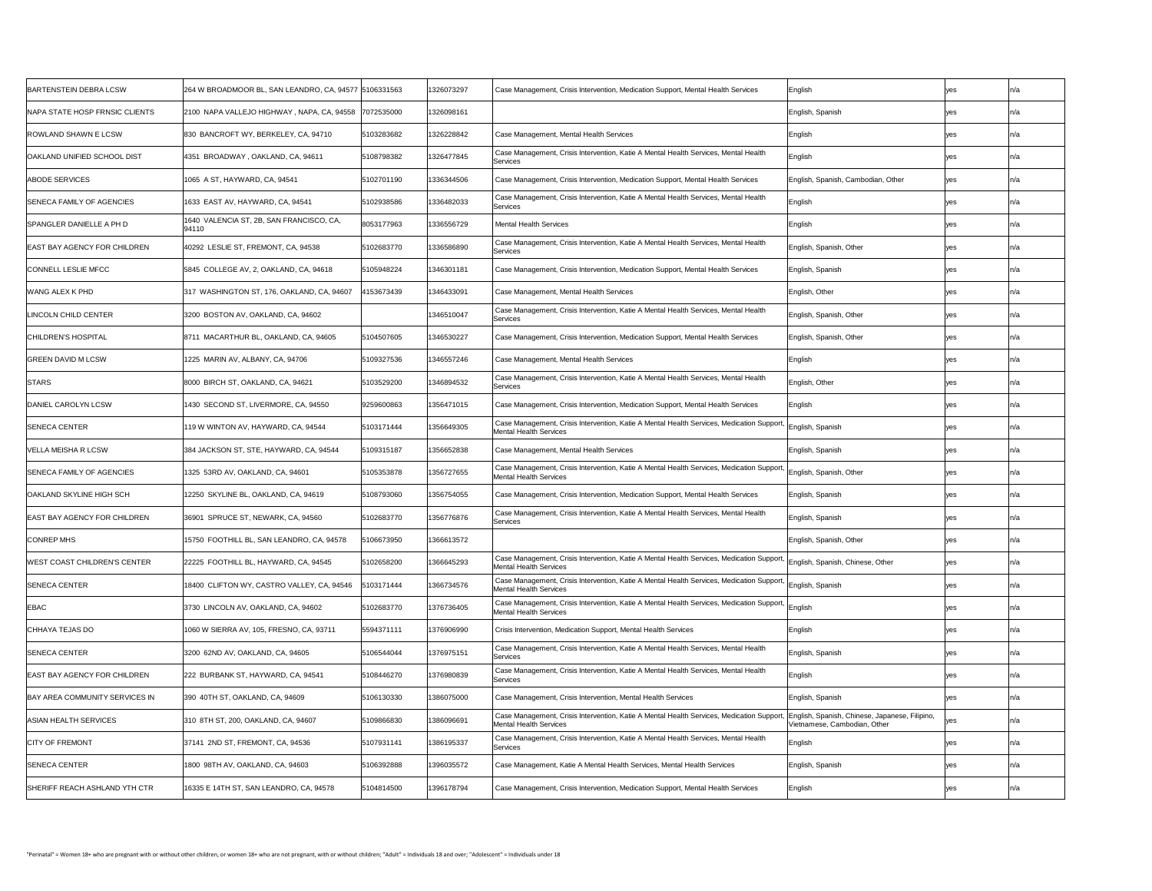| BARTENSTEIN DEBRA LCSW                | 264 W BROADMOOR BL, SAN LEANDRO, CA, 94577 5106331563 |            | 1326073297 | Case Management, Crisis Intervention, Medication Support, Mental Health Services                                                                                    | English                            |     | $ln/\varepsilon$ |
|---------------------------------------|-------------------------------------------------------|------------|------------|---------------------------------------------------------------------------------------------------------------------------------------------------------------------|------------------------------------|-----|------------------|
| <b>NAPA STATE HOSP FRNSIC CLIENTS</b> | 2100 NAPA VALLEJO HIGHWAY, NAPA, CA, 94558 7072535000 |            | 1326098161 |                                                                                                                                                                     | English, Spanish                   |     | In/a             |
| <b>ROWLAND SHAWN E LCSW</b>           | 830 BANCROFT WY, BERKELEY, CA, 94710                  | 5103283682 | 1326228842 | Case Management, Mental Health Services                                                                                                                             | English                            |     | In/a             |
| <b>OAKLAND UNIFIED SCHOOL DIST</b>    | 4351 BROADWAY , OAKLAND, CA, 94611                    | 5108798382 | 1326477845 | Case Management, Crisis Intervention, Katie A Mental Health Services, Mental Health<br>Services                                                                     | English                            |     | In/a             |
| <b>ABODE SERVICES</b>                 | 1065 A ST, HAYWARD, CA, 94541                         | 5102701190 | 1336344506 | Case Management, Crisis Intervention, Medication Support, Mental Health Services                                                                                    | English, Spanish, Cambodian, Other | yes |                  |
| <b>ISENECA FAMILY OF AGENCIES</b>     | 1633 EAST AV, HAYWARD, CA, 94541                      | 5102938586 | 1336482033 | Case Management, Crisis Intervention, Katie A Mental Health Services, Mental Health<br>Services                                                                     | English                            |     |                  |
| <b>SPANGLER DANIELLE A PH D</b>       | 1640 VALENCIA ST, 2B, SAN FRANCISCO, CA,<br>94110     | 8053177963 | 1336556729 | <b>Mental Health Services</b>                                                                                                                                       | English                            |     | In/a             |
| EAST BAY AGENCY FOR CHILDREN          | 40292 LESLIE ST, FREMONT, CA, 94538                   | 5102683770 | 1336586890 | Case Management, Crisis Intervention, Katie A Mental Health Services, Mental Health<br>Services                                                                     | English, Spanish, Other            | ves | In/a             |
| CONNELL LESLIE MFCC                   | 5845 COLLEGE AV, 2, OAKLAND, CA, 94618                | 5105948224 | 1346301181 | Case Management, Crisis Intervention, Medication Support, Mental Health Services                                                                                    | English, Spanish                   |     |                  |
| WANG ALEX K PHD                       | 317 WASHINGTON ST, 176, OAKLAND, CA, 94607            | 4153673439 | 1346433091 | Case Management, Mental Health Services                                                                                                                             | English, Other                     |     |                  |
| LINCOLN CHILD CENTER                  | 3200 BOSTON AV, OAKLAND, CA, 94602                    |            | 1346510047 | Case Management, Crisis Intervention, Katie A Mental Health Services, Mental Health<br>Services                                                                     | English, Spanish, Other            |     |                  |
| <b>CHILDREN'S HOSPITAL</b>            | 8711 MACARTHUR BL, OAKLAND, CA, 94605                 | 5104507605 | 1346530227 | Case Management, Crisis Intervention, Medication Support, Mental Health Services                                                                                    | English, Spanish, Other            |     |                  |
| <b>GREEN DAVID M LCSW</b>             | 1225 MARIN AV, ALBANY, CA, 94706                      | 5109327536 | 1346557246 | Case Management, Mental Health Services                                                                                                                             | English                            |     | In/a             |
| <b>STARS</b>                          | 8000 BIRCH ST, OAKLAND, CA, 94621                     | 5103529200 | 1346894532 | Case Management, Crisis Intervention, Katie A Mental Health Services, Mental Health<br>Services                                                                     | English, Other                     |     |                  |
| DANIEL CAROLYN LCSW                   | 1430 SECOND ST, LIVERMORE, CA, 94550                  | 9259600863 | 1356471015 | Case Management, Crisis Intervention, Medication Support, Mental Health Services                                                                                    | English                            |     |                  |
| <b>SENECA CENTER</b>                  | 119 W WINTON AV, HAYWARD, CA, 94544                   | 5103171444 | 1356649305 | Case Management, Crisis Intervention, Katie A Mental Health Services, Medication Support, English, Spanish<br>Mental Health Services                                |                                    |     |                  |
| <b>VELLA MEISHA R LCSW</b>            | 384 JACKSON ST, STE, HAYWARD, CA, 94544               | 5109315187 | 1356652838 | Case Management, Mental Health Services                                                                                                                             | English, Spanish                   |     | In/a             |
| SENECA FAMILY OF AGENCIES             | 1325 53RD AV, OAKLAND, CA, 94601                      | 5105353878 | 1356727655 | Case Management, Crisis Intervention, Katie A Mental Health Services, Medication Support, English, Spanish, Other<br><b>Mental Health Services</b>                  |                                    |     |                  |
| OAKLAND SKYLINE HIGH SCH              | 12250 SKYLINE BL, OAKLAND, CA, 94619                  | 5108793060 | 1356754055 | Case Management, Crisis Intervention, Medication Support, Mental Health Services                                                                                    | English, Spanish                   |     |                  |
| <b>EAST BAY AGENCY FOR CHILDREN</b>   | 36901 SPRUCE ST, NEWARK, CA, 94560                    | 5102683770 | 1356776876 | Case Management, Crisis Intervention, Katie A Mental Health Services, Mental Health<br>Services                                                                     | English, Spanish                   |     |                  |
| <b>CONREP MHS</b>                     | 15750 FOOTHILL BL, SAN LEANDRO, CA, 94578             | 5106673950 | 1366613572 |                                                                                                                                                                     | English, Spanish, Other            |     |                  |
| WEST COAST CHILDREN'S CENTER          | 22225 FOOTHILL BL, HAYWARD, CA, 94545                 | 5102658200 | 1366645293 | Case Management, Crisis Intervention, Katie A Mental Health Services, Medication Support, English, Spanish, Chinese, Other<br><b>Mental Health Services</b>         |                                    |     |                  |
| <b>SENECA CENTER</b>                  | 18400 CLIFTON WY, CASTRO VALLEY, CA, 94546            | 103171444  | 1366734576 | Case Management, Crisis Intervention, Katie A Mental Health Services, Medication Support, English, Spanish<br>Mental Health Services                                |                                    |     |                  |
| <b>EBAC</b>                           | 3730 LINCOLN AV, OAKLAND, CA, 94602                   | 5102683770 | 1376736405 | Case Management, Crisis Intervention, Katie A Mental Health Services, Medication Support, English<br><b>Mental Health Services</b>                                  |                                    |     |                  |
| CHHAYA TEJAS DO                       | 1060 W SIERRA AV, 105, FRESNO, CA, 93711              | 5594371111 | 1376906990 | Crisis Intervention, Medication Support, Mental Health Services                                                                                                     | English                            |     |                  |
| <b>SENECA CENTER</b>                  | 3200 62ND AV, OAKLAND, CA, 94605                      | 5106544044 | 1376975151 | Case Management, Crisis Intervention, Katie A Mental Health Services, Mental Health<br>Services                                                                     | English, Spanish                   |     | IN/a             |
| <b>EAST BAY AGENCY FOR CHILDREN</b>   | 222 BURBANK ST, HAYWARD, CA, 94541                    | 5108446270 | 1376980839 | Case Management, Crisis Intervention, Katie A Mental Health Services, Mental Health<br>Services                                                                     | English                            |     |                  |
| BAY AREA COMMUNITY SERVICES IN        | 390 40TH ST, OAKLAND, CA, 94609                       | 5106130330 | 1386075000 | Case Management, Crisis Intervention, Mental Health Services                                                                                                        | English, Spanish                   |     | In/a             |
| ASIAN HEALTH SERVICES                 | 310 8TH ST, 200, OAKLAND, CA, 94607                   | 5109866830 | 1386096691 | Case Management, Crisis Intervention, Katie A Mental Health Services, Medication Support,  English, Spanish, Chinese, Japanese, Filipino,<br>Mental Health Services | Vietnamese, Cambodian, Other       |     |                  |
| <b>CITY OF FREMONT</b>                | 37141 2ND ST, FREMONT, CA, 94536                      | 5107931141 | 1386195337 | Case Management, Crisis Intervention, Katie A Mental Health Services, Mental Health<br>Services                                                                     | English                            |     | In/a             |
| <b>SENECA CENTER</b>                  | 1800 98TH AV, OAKLAND, CA, 94603                      | 5106392888 | 1396035572 | Case Management, Katie A Mental Health Services, Mental Health Services                                                                                             | English, Spanish                   |     |                  |
| <b>SHERIFF REACH ASHLAND YTH CTR</b>  | 16335 E 14TH ST, SAN LEANDRO, CA, 94578               | 5104814500 | 1396178794 | Case Management, Crisis Intervention, Medication Support, Mental Health Services                                                                                    | English                            |     |                  |
|                                       |                                                       |            |            |                                                                                                                                                                     |                                    |     |                  |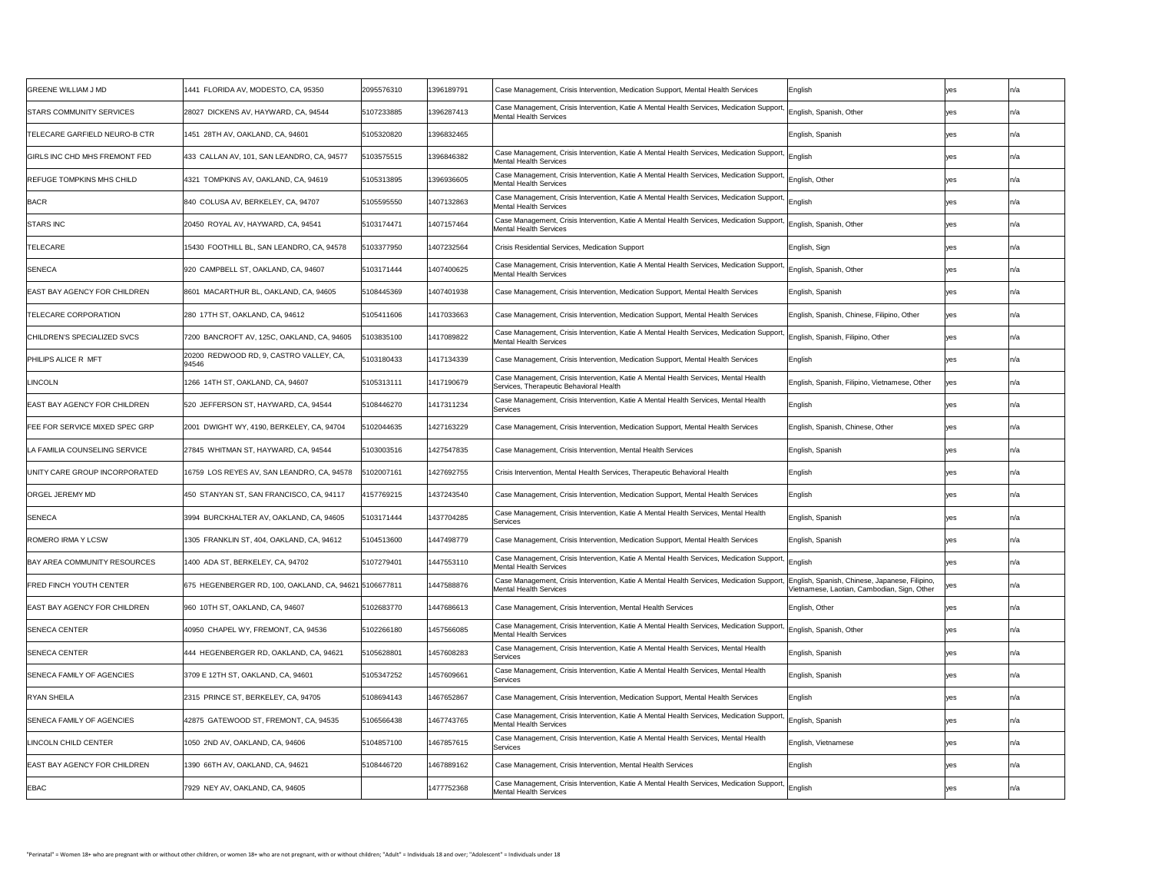| <b>GREENE WILLIAM J MD</b>            | 1441 FLORIDA AV, MODESTO, CA, 95350                    | 2095576310 | 1396189791 | Case Management, Crisis Intervention, Medication Support, Mental Health Services                                                                   | English                                                                                          |            | In/a |
|---------------------------------------|--------------------------------------------------------|------------|------------|----------------------------------------------------------------------------------------------------------------------------------------------------|--------------------------------------------------------------------------------------------------|------------|------|
| <b>STARS COMMUNITY SERVICES</b>       | 28027 DICKENS AV, HAYWARD, CA, 94544                   | 5107233885 | 1396287413 | Case Management, Crisis Intervention, Katie A Mental Health Services, Medication Support, English, Spanish, Other<br>Mental Health Services        |                                                                                                  |            | In/a |
| TELECARE GARFIELD NEURO-B CTR         | 1451 28TH AV, OAKLAND, CA, 94601                       | 5105320820 | 1396832465 |                                                                                                                                                    | English, Spanish                                                                                 |            | ın/a |
| <b>GIRLS INC CHD MHS FREMONT FED</b>  | 433 CALLAN AV, 101, SAN LEANDRO, CA, 94577             | 103575515  | 1396846382 | Case Management, Crisis Intervention, Katie A Mental Health Services, Medication Support, English<br>Mental Health Services                        |                                                                                                  |            |      |
| REFUGE TOMPKINS MHS CHILD             | 4321 TOMPKINS AV, OAKLAND, CA, 94619                   | 5105313895 | 1396936605 | Case Management, Crisis Intervention, Katie A Mental Health Services, Medication Support, English, Other<br>Mental Health Services                 |                                                                                                  |            | In/a |
| <b>BACR</b>                           | 840 COLUSA AV, BERKELEY, CA, 94707                     | 5105595550 | 1407132863 | Case Management, Crisis Intervention, Katie A Mental Health Services, Medication Support, English<br><b>Mental Health Services</b>                 |                                                                                                  |            |      |
| STARS INC                             | 20450 ROYAL AV, HAYWARD, CA, 94541                     | 5103174471 | 1407157464 | Case Management, Crisis Intervention, Katie A Mental Health Services, Medication Support, English, Spanish, Other<br><b>Mental Health Services</b> |                                                                                                  |            |      |
| TELECARE                              | 15430 FOOTHILL BL, SAN LEANDRO, CA, 94578              | 5103377950 | 1407232564 | <b>Crisis Residential Services, Medication Support</b>                                                                                             | English, Sign                                                                                    | yes        | In/a |
| <b>SENECA</b>                         | 920 CAMPBELL ST, OAKLAND, CA, 94607                    | 5103171444 | 1407400625 | Case Management, Crisis Intervention, Katie A Mental Health Services, Medication Support, English, Spanish, Other<br><b>Mental Health Services</b> |                                                                                                  |            | In/a |
| <b>EAST BAY AGENCY FOR CHILDREN</b>   | 8601 MACARTHUR BL, OAKLAND, CA, 94605                  | 5108445369 | 1407401938 | Case Management, Crisis Intervention, Medication Support, Mental Health Services                                                                   | English, Spanish                                                                                 |            | In/a |
| TELECARE CORPORATION                  | 280 17TH ST, OAKLAND, CA, 94612                        | 5105411606 | 1417033663 | Case Management, Crisis Intervention, Medication Support, Mental Health Services                                                                   | English, Spanish, Chinese, Filipino, Other                                                       | yes        | In/a |
| CHILDREN'S SPECIALIZED SVCS           | 7200 BANCROFT AV, 125C, OAKLAND, CA, 94605             | 103835100  | 1417089822 | Case Management, Crisis Intervention, Katie A Mental Health Services, Medication Support,<br>Mental Health Services                                | English, Spanish, Filipino, Other                                                                | yes        | In/a |
| <b>PHILIPS ALICE R MFT</b>            | 20200 REDWOOD RD, 9, CASTRO VALLEY, CA,<br>94546       | 5103180433 | 1417134339 | Case Management, Crisis Intervention, Medication Support, Mental Health Services                                                                   | English                                                                                          |            | In/a |
| <b>LINCOLN</b>                        | 1266 14TH ST, OAKLAND, CA, 94607                       | 5105313111 | 1417190679 | Case Management, Crisis Intervention, Katie A Mental Health Services, Mental Health<br>Services, Therapeutic Behavioral Health                     | English, Spanish, Filipino, Vietnamese, Other                                                    | <b>yes</b> | In/a |
| <b>EAST BAY AGENCY FOR CHILDREN</b>   | 520 JEFFERSON ST, HAYWARD, CA, 94544                   | 5108446270 | 1417311234 | Case Management, Crisis Intervention, Katie A Mental Health Services, Mental Health<br>Services                                                    | English                                                                                          | <b>ves</b> | In/a |
| <b>FEE FOR SERVICE MIXED SPEC GRP</b> | 2001 DWIGHT WY, 4190, BERKELEY, CA, 94704              | 102044635  | 1427163229 | Case Management, Crisis Intervention, Medication Support, Mental Health Services                                                                   | English, Spanish, Chinese, Other                                                                 | yes        |      |
| LA FAMILIA COUNSELING SERVICE         | 27845 WHITMAN ST, HAYWARD, CA, 94544                   | 5103003516 | 1427547835 | Case Management, Crisis Intervention, Mental Health Services                                                                                       | English, Spanish                                                                                 | <b>ves</b> | In/a |
| UNITY CARE GROUP INCORPORATED         | 16759 LOS REYES AV, SAN LEANDRO, CA, 94578             | 5102007161 | 1427692755 | Crisis Intervention, Mental Health Services, Therapeutic Behavioral Health                                                                         | English                                                                                          |            | In/a |
| <b>ORGEL JEREMY MD</b>                | 450 STANYAN ST, SAN FRANCISCO, CA, 94117               | 4157769215 | 1437243540 | Case Management, Crisis Intervention, Medication Support, Mental Health Services                                                                   | English                                                                                          |            | In/a |
| <b>SENECA</b>                         | 3994 BURCKHALTER AV, OAKLAND, CA, 94605                | 5103171444 | 1437704285 | Case Management, Crisis Intervention, Katie A Mental Health Services, Mental Health<br>Services                                                    | English, Spanish                                                                                 |            | In/a |
| <b>ROMERO IRMA Y LCSW</b>             | 1305 FRANKLIN ST, 404, OAKLAND, CA, 94612              | 5104513600 | 1447498779 | Case Management, Crisis Intervention, Medication Support, Mental Health Services                                                                   | English, Spanish                                                                                 | yes        | In/a |
| BAY AREA COMMUNITY RESOURCES          | 1400 ADA ST, BERKELEY, CA, 94702                       | 5107279401 | 1447553110 | Case Management, Crisis Intervention, Katie A Mental Health Services, Medication Support, English<br>Mental Health Services                        |                                                                                                  |            | In/a |
| <b>FRED FINCH YOUTH CENTER</b>        | 675 HEGENBERGER RD, 100, OAKLAND, CA, 94621 5106677811 |            | 1447588876 | Case Management, Crisis Intervention, Katie A Mental Health Services, Medication Support,<br>Mental Health Services                                | ,  English, Spanish, Chinese, Japanese, Filipino,<br>Vietnamese, Laotian, Cambodian, Sign, Other | <i>ves</i> |      |
| <b>EAST BAY AGENCY FOR CHILDREN</b>   | 960 10TH ST, OAKLAND, CA, 94607                        | 5102683770 | 1447686613 | Gase Management, Crisis Intervention, Mental Health Services                                                                                       | English, Other                                                                                   |            | In/a |
| <b>SENECA CENTER</b>                  | 40950 CHAPEL WY, FREMONT, CA, 94536                    | 5102266180 | 1457566085 | Case Management, Crisis Intervention, Katie A Mental Health Services, Medication Support, English, Spanish, Other<br>Mental Health Services        |                                                                                                  |            |      |
| <b>SENECA CENTER</b>                  | 444 HEGENBERGER RD, OAKLAND, CA, 94621                 | 5105628801 | 1457608283 | Case Management, Crisis Intervention, Katie A Mental Health Services, Mental Health<br>Services                                                    | English, Spanish                                                                                 | yes        | In/a |
| SENECA FAMILY OF AGENCIES             | 3709 E 12TH ST, OAKLAND, CA, 94601                     | 5105347252 | 1457609661 | Case Management, Crisis Intervention, Katie A Mental Health Services, Mental Health<br>Services                                                    | English, Spanish                                                                                 | ves        | In/a |
| <b>RYAN SHEILA</b>                    | 2315 PRINCE ST, BERKELEY, CA, 94705                    | 5108694143 | 1467652867 | Case Management, Crisis Intervention, Medication Support, Mental Health Services                                                                   | English                                                                                          |            |      |
| SENECA FAMILY OF AGENCIES             | 42875 GATEWOOD ST, FREMONT, CA, 94535                  | 5106566438 | 1467743765 | Case Management, Crisis Intervention, Katie A Mental Health Services, Medication Support, English, Spanish<br>Mental Health Services               |                                                                                                  |            | ln/a |
| LINCOLN CHILD CENTER                  | 1050 2ND AV, OAKLAND, CA, 94606                        | 5104857100 | 1467857615 | Case Management, Crisis Intervention, Katie A Mental Health Services, Mental Health<br>Services                                                    | English, Vietnamese                                                                              |            | ın/a |
| <b>EAST BAY AGENCY FOR CHILDREN</b>   | 1390 66TH AV, OAKLAND, CA, 94621                       | 5108446720 | 1467889162 | Case Management, Crisis Intervention, Mental Health Services                                                                                       | English                                                                                          |            | ın/a |
| <b>EBAC</b>                           | 7929 NEY AV, OAKLAND, CA, 94605                        |            | 1477752368 | Case Management, Crisis Intervention, Katie A Mental Health Services, Medication Support, English<br>Mental Health Services                        |                                                                                                  |            |      |
|                                       |                                                        |            |            |                                                                                                                                                    |                                                                                                  |            |      |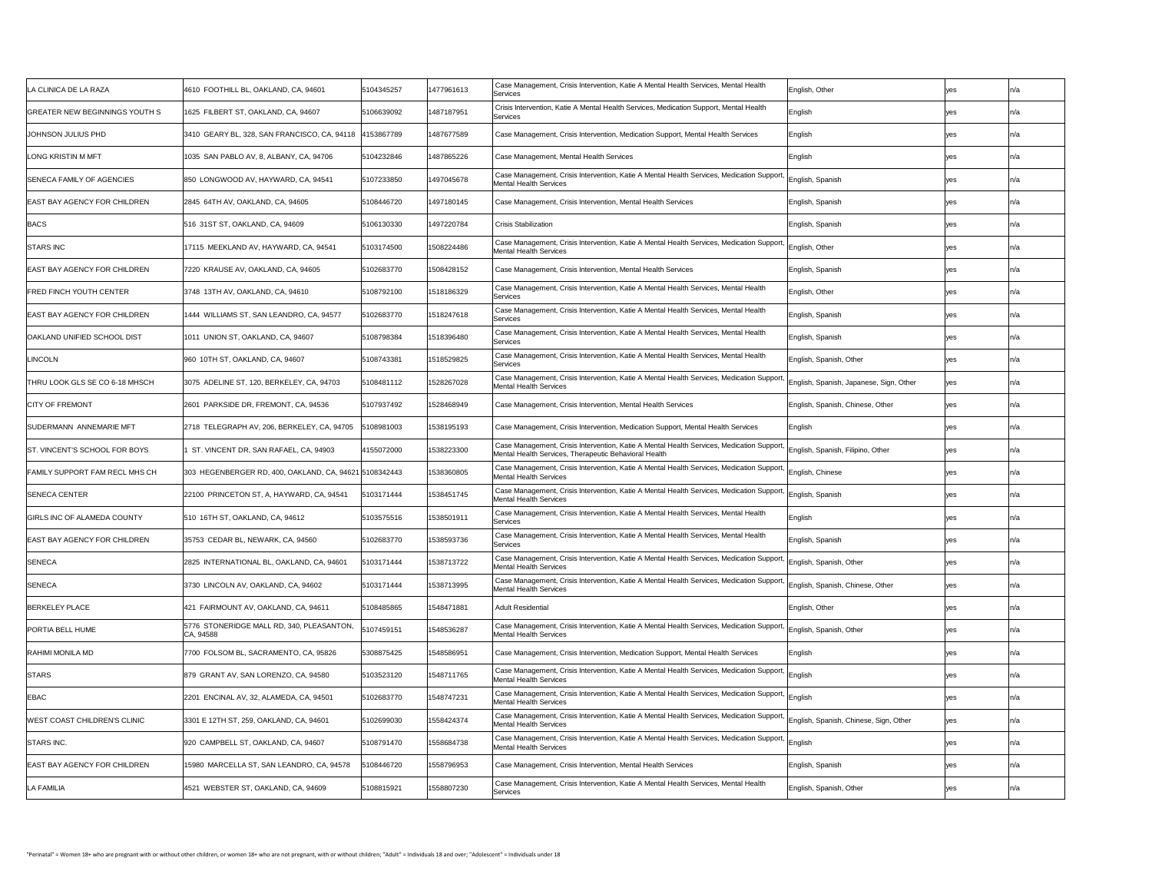| LA CLINICA DE LA RAZA                 | 4610 FOOTHILL BL, OAKLAND, CA, 94601                    | 5104345257 | 1477961613 | Case Management, Crisis Intervention, Katie A Mental Health Services, Mental Health<br>Services                                                                                      | English, Other                   | ves        |      |
|---------------------------------------|---------------------------------------------------------|------------|------------|--------------------------------------------------------------------------------------------------------------------------------------------------------------------------------------|----------------------------------|------------|------|
| <b>GREATER NEW BEGINNINGS YOUTH S</b> | 1625 FILBERT ST, OAKLAND, CA, 94607                     | 5106639092 | 1487187951 | Crisis Intervention, Katie A Mental Health Services, Medication Support, Mental Health<br>Services                                                                                   | English                          |            |      |
| JOHNSON JULIUS PHD                    | 3410 GEARY BL, 328, SAN FRANCISCO, CA, 94118 4153867789 |            | 1487677589 | Case Management, Crisis Intervention, Medication Support, Mental Health Services                                                                                                     | English                          | yes        | In/a |
| <b>LONG KRISTIN M MFT</b>             | 1035 SAN PABLO AV, 8, ALBANY, CA, 94706                 | 5104232846 | 1487865226 | Case Management, Mental Health Services                                                                                                                                              | English                          | ves        | ın/a |
| <b>SENECA FAMILY OF AGENCIES</b>      | 850 LONGWOOD AV, HAYWARD, CA, 94541                     | 5107233850 | 1497045678 | Case Management, Crisis Intervention, Katie A Mental Health Services, Medication Support, English, Spanish<br>Mental Health Services                                                 |                                  |            |      |
| <b>EAST BAY AGENCY FOR CHILDREN</b>   | 2845 64TH AV, OAKLAND, CA, 94605                        | 5108446720 | 1497180145 | Case Management, Crisis Intervention, Mental Health Services                                                                                                                         | English, Spanish                 | ves        |      |
| <b>BACS</b>                           | 516 31ST ST, OAKLAND, CA, 94609                         | 5106130330 | 1497220784 | <b>Crisis Stabilization</b>                                                                                                                                                          | English, Spanish                 | ves        |      |
| <b>STARS INC</b>                      | 17115 MEEKLAND AV, HAYWARD, CA, 94541                   | 5103174500 | 1508224486 | Case Management, Crisis Intervention, Katie A Mental Health Services, Medication Support, English, Other<br><b>Mental Health Services</b>                                            |                                  | yes        |      |
| <b>EAST BAY AGENCY FOR CHILDREN</b>   | 7220 KRAUSE AV, OAKLAND, CA, 94605                      | 5102683770 | 1508428152 | Case Management, Crisis Intervention, Mental Health Services                                                                                                                         | English, Spanish                 | yes        | ın/a |
| <b>FRED FINCH YOUTH CENTER</b>        | 3748 13TH AV, OAKLAND, CA, 94610                        | 5108792100 | 1518186329 | Case Management, Crisis Intervention, Katie A Mental Health Services, Mental Health<br>Services                                                                                      | English, Other                   |            |      |
| <b>EAST BAY AGENCY FOR CHILDREN</b>   | 1444 WILLIAMS ST, SAN LEANDRO, CA, 94577                | 5102683770 | 1518247618 | Case Management, Crisis Intervention, Katie A Mental Health Services, Mental Health<br>Services                                                                                      | English, Spanish                 |            |      |
| OAKLAND UNIFIED SCHOOL DIST           | 1011 UNION ST, OAKLAND, CA, 94607                       | 5108798384 | 1518396480 | Case Management, Crisis Intervention, Katie A Mental Health Services, Mental Health<br>Services                                                                                      | English, Spanish                 |            | In/a |
| LINCOLN                               | 960 10TH ST, OAKLAND, CA, 94607                         | 5108743381 | 1518529825 | Case Management, Crisis Intervention, Katie A Mental Health Services, Mental Health<br>Services                                                                                      | English, Spanish, Other          |            |      |
| <b>THRU LOOK GLS SE CO 6-18 MHSCH</b> | 3075 ADELINE ST, 120, BERKELEY, CA, 94703               | 5108481112 | 1528267028 | Case Management, Crisis Intervention, Katie A Mental Health Services, Medication Support, English, Spanish, Japanese, Sign, Other<br>Mental Health Services                          |                                  | yes        |      |
| <b>CITY OF FREMONT</b>                | 2601 PARKSIDE DR, FREMONT, CA, 94536                    | 5107937492 | 1528468949 | Case Management, Crisis Intervention, Mental Health Services                                                                                                                         | English, Spanish, Chinese, Other | <b>yes</b> |      |
| <b>SUDERMANN ANNEMARIE MFT</b>        | 2718 TELEGRAPH AV, 206, BERKELEY, CA, 94705             | 108981003  | 1538195193 | Case Management, Crisis Intervention, Medication Support, Mental Health Services                                                                                                     | English                          |            |      |
| ST. VINCENT'S SCHOOL FOR BOYS         | ST. VINCENT DR, SAN RAFAEL, CA, 94903                   | 4155072000 | 1538223300 | Case Management, Crisis Intervention, Katie A Mental Health Services, Medication Support, English, Spanish, Filipino, Other<br>Mental Health Services, Therapeutic Behavioral Health |                                  |            |      |
| <b>FAMILY SUPPORT FAM RECL MHS CH</b> | 303 HEGENBERGER RD, 400, OAKLAND, CA, 94621 5108342443  |            | 1538360805 | Case Management, Crisis Intervention, Katie A Mental Health Services, Medication Support, English, Chinese<br><b>Mental Health Services</b>                                          |                                  |            | In/a |
| <b>SENECA CENTER</b>                  | 22100 PRINCETON ST, A, HAYWARD, CA, 94541               | 103171444  | 1538451745 | Case Management, Crisis Intervention, Katie A Mental Health Services, Medication Support, English, Spanish<br>Mental Health Services                                                 |                                  | ves        | In/a |
| <b>GIRLS INC OF ALAMEDA COUNTY</b>    | 510 16TH ST, OAKLAND, CA, 94612                         | 5103575516 | 1538501911 | Case Management, Crisis Intervention, Katie A Mental Health Services, Mental Health<br>Services                                                                                      | English                          |            |      |
| <b>EAST BAY AGENCY FOR CHILDREN</b>   | 35753 CEDAR BL, NEWARK, CA, 94560                       | 5102683770 | 1538593736 | Case Management, Crisis Intervention, Katie A Mental Health Services, Mental Health<br>Services                                                                                      | English, Spanish                 | yes        | In/a |
| <b>SENECA</b>                         | 2825 INTERNATIONAL BL, OAKLAND, CA, 94601               | 5103171444 | 1538713722 | Case Management, Crisis Intervention, Katie A Mental Health Services, Medication Support, English, Spanish, Other<br>Mental Health Services                                          |                                  |            | ın/a |
| <b>SENECA</b>                         | 3730 LINCOLN AV, OAKLAND, CA, 94602                     | 5103171444 | 1538713995 | Case Management, Crisis Intervention, Katie A Mental Health Services, Medication Support, English, Spanish, Chinese, Other<br>Mental Health Services                                 |                                  | yes        |      |
| <b>BERKELEY PLACE</b>                 | 421 FAIRMOUNT AV, OAKLAND, CA, 94611                    | 5108485865 | 1548471881 | <b>Adult Residential</b>                                                                                                                                                             | English, Other                   | ves        | In/a |
| <b>PORTIA BELL HUME</b>               | 5776 STONERIDGE MALL RD, 340, PLEASANTON,<br>CA, 94588  | 5107459151 | 1548536287 | Case Management, Crisis Intervention, Katie A Mental Health Services, Medication Support, English, Spanish, Other<br>Mental Health Services                                          |                                  |            |      |
| RAHIMI MONILA MD                      | 7700 FOLSOM BL, SACRAMENTO, CA, 95826                   | 5308875425 | 1548586951 | Case Management, Crisis Intervention, Medication Support, Mental Health Services                                                                                                     | English                          |            |      |
| <b>STARS</b>                          | 879 GRANT AV, SAN LORENZO, CA, 94580                    | 5103523120 | 1548711765 | Case Management, Crisis Intervention, Katie A Mental Health Services, Medication Support, English<br><b>Mental Health Services</b>                                                   |                                  | yes        | In/a |
| <b>EBAC</b>                           | 2201 ENCINAL AV, 32, ALAMEDA, CA, 94501                 | 5102683770 | 1548747231 | Case Management, Crisis Intervention, Katie A Mental Health Services, Medication Support, English<br>Mental Health Services                                                          |                                  | <b>ves</b> | In/a |
| WEST COAST CHILDREN'S CLINIC          | 3301 E 12TH ST, 259, OAKLAND, CA, 94601                 | 5102699030 | 1558424374 | Case Management, Crisis Intervention, Katie A Mental Health Services, Medication Support, English, Spanish, Chinese, Sign, Other<br>Mental Health Services                           |                                  | yes        |      |
| <b>STARS INC.</b>                     | 920 CAMPBELL ST, OAKLAND, CA, 94607                     | 5108791470 | 1558684738 | Case Management, Crisis Intervention, Katie A Mental Health Services, Medication Support, English<br>Mental Health Services                                                          |                                  |            | In/a |
| EAST BAY AGENCY FOR CHILDREN          | 15980 MARCELLA ST, SAN LEANDRO, CA, 94578               | 5108446720 | 1558796953 | Case Management, Crisis Intervention, Mental Health Services                                                                                                                         | English, Spanish                 | yes        | ın/a |
| <b>LA FAMILIA</b>                     | 4521 WEBSTER ST, OAKLAND, CA, 94609                     | 5108815921 | 1558807230 | Case Management, Crisis Intervention, Katie A Mental Health Services, Mental Health<br>Services                                                                                      | English, Spanish, Other          |            |      |
|                                       |                                                         |            |            |                                                                                                                                                                                      |                                  |            |      |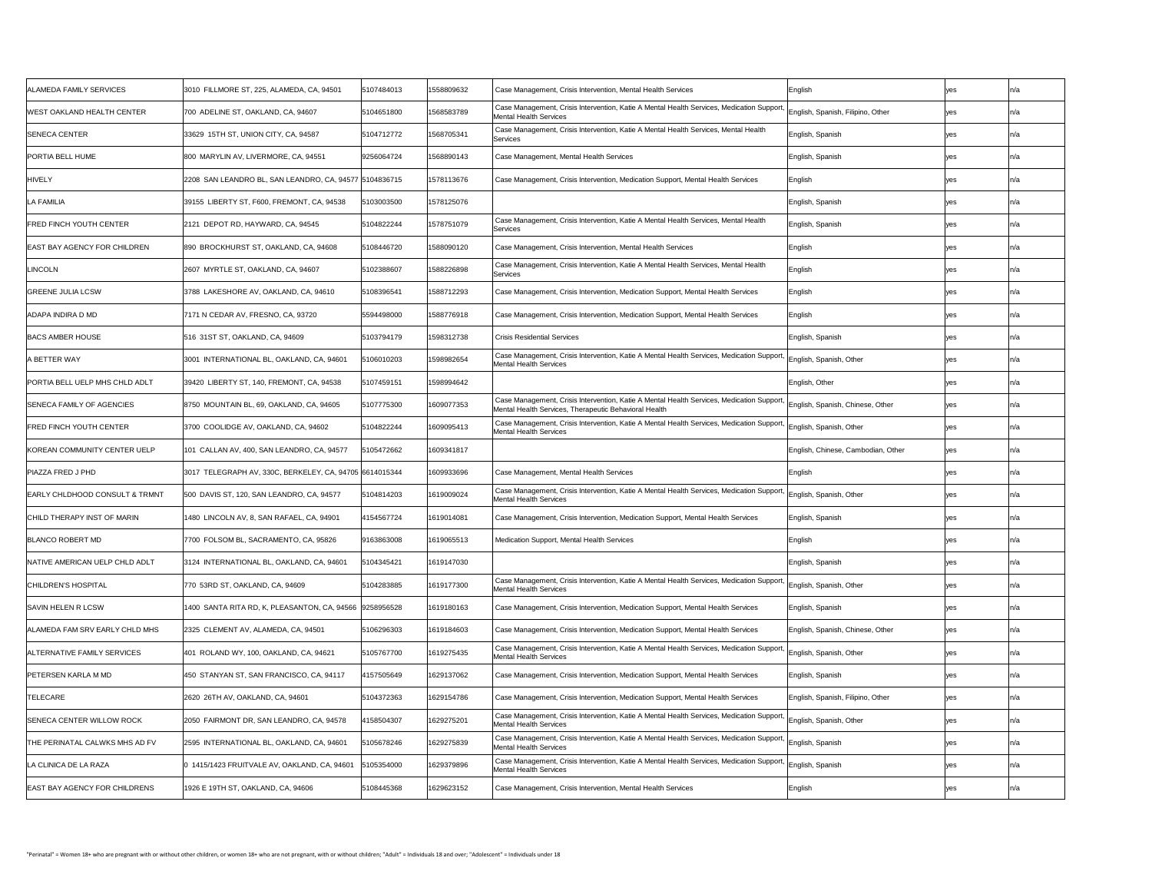| ALAMEDA FAMILY SERVICES                   | 3010 FILLMORE ST, 225, ALAMEDA, CA, 94501               | 5107484013 | 1558809632 | Case Management, Crisis Intervention, Mental Health Services                                                                                                                        | English                            |            | In/a |
|-------------------------------------------|---------------------------------------------------------|------------|------------|-------------------------------------------------------------------------------------------------------------------------------------------------------------------------------------|------------------------------------|------------|------|
| WEST OAKLAND HEALTH CENTER_               | 700 ADELINE ST, OAKLAND, CA, 94607                      | 5104651800 | 1568583789 | Case Management, Crisis Intervention, Katie A Mental Health Services, Medication Support, English, Spanish, Filipino, Other<br>Mental Health Services                               |                                    | yes        |      |
| <b>SENECA CENTER</b>                      | 33629 15TH ST, UNION CITY, CA, 94587                    | 5104712772 | 1568705341 | Case Management, Crisis Intervention, Katie A Mental Health Services, Mental Health<br>Services                                                                                     | English, Spanish                   |            |      |
| <b>PORTIA BELL HUME</b>                   | 800 MARYLIN AV, LIVERMORE, CA, 94551                    | 9256064724 | 1568890143 | Case Management, Mental Health Services                                                                                                                                             | English, Spanish                   |            | In/a |
| <b>HIVELY</b>                             | 2208 SAN LEANDRO BL, SAN LEANDRO, CA, 94577 5104836715  |            | 1578113676 | Case Management, Crisis Intervention, Medication Support, Mental Health Services                                                                                                    | English                            |            |      |
| <b>LA FAMILIA</b>                         | 39155 LIBERTY ST, F600, FREMONT, CA, 94538              | 103003500  | 1578125076 |                                                                                                                                                                                     | English, Spanish                   |            |      |
| <b>FRED FINCH YOUTH CENTER</b>            | 2121 DEPOT RD, HAYWARD, CA, 94545                       | 5104822244 | 1578751079 | Case Management, Crisis Intervention, Katie A Mental Health Services, Mental Health<br>Services                                                                                     | English, Spanish                   |            |      |
| <b>EAST BAY AGENCY FOR CHILDREN</b>       | 890 BROCKHURST ST, OAKLAND, CA, 94608                   | 5108446720 | 1588090120 | Case Management, Crisis Intervention, Mental Health Services                                                                                                                        | English                            |            | In/a |
| LINCOLN                                   | 2607 MYRTLE ST, OAKLAND, CA, 94607                      | 5102388607 | 1588226898 | Case Management, Crisis Intervention, Katie A Mental Health Services, Mental Health<br>Services                                                                                     | English                            |            |      |
| <b>GREENE JULIA LCSW</b>                  | 3788 LAKESHORE AV, OAKLAND, CA, 94610                   | 5108396541 | 1588712293 | Case Management, Crisis Intervention, Medication Support, Mental Health Services                                                                                                    | English                            |            |      |
| ADAPA INDIRA D MD                         | 7171 N CEDAR AV, FRESNO, CA, 93720                      | 5594498000 | 1588776918 | Case Management, Crisis Intervention, Medication Support, Mental Health Services                                                                                                    | English                            |            |      |
| <b>BACS AMBER HOUSE</b>                   | 516 31ST ST, OAKLAND, CA, 94609                         | 5103794179 | 1598312738 | <b>Crisis Residential Services</b>                                                                                                                                                  | English, Spanish                   |            |      |
| A BETTER WAY                              | 3001 INTERNATIONAL BL, OAKLAND, CA, 94601               | 5106010203 | 1598982654 | Case Management, Crisis Intervention, Katie A Mental Health Services, Medication Support, English, Spanish, Other<br>Mental Health Services                                         |                                    |            |      |
| PORTIA BELL UELP MHS CHLD ADLT            | 39420 LIBERTY ST, 140, FREMONT, CA, 94538               | 5107459151 | 1598994642 |                                                                                                                                                                                     | English, Other                     |            |      |
| SENECA FAMILY OF AGENCIES                 | 8750 MOUNTAIN BL, 69, OAKLAND, CA, 94605                | 5107775300 | 1609077353 | Case Management, Crisis Intervention, Katie A Mental Health Services, Medication Support, English, Spanish, Chinese, Other<br>Mental Health Services, Therapeutic Behavioral Health |                                    | <b>yes</b> |      |
| <b>FRED FINCH YOUTH CENTER</b>            | 3700 COOLIDGE AV, OAKLAND, CA, 94602                    | 5104822244 | 1609095413 | Case Management, Crisis Intervention, Katie A Mental Health Services, Medication Support, English, Spanish, Other<br>Mental Health Services                                         |                                    |            |      |
| KOREAN COMMUNITY CENTER UELP              | 101 CALLAN AV, 400, SAN LEANDRO, CA, 94577              | 5105472662 | 1609341817 |                                                                                                                                                                                     | English, Chinese, Cambodian, Other | yes        |      |
| PIAZZA FRED J PHD                         | 3017 TELEGRAPH AV, 330C, BERKELEY, CA, 94705 6614015344 |            | 1609933696 | Case Management, Mental Health Services                                                                                                                                             | English                            |            |      |
| <b>EARLY CHLDHOOD CONSULT &amp; TRMNT</b> | 500 DAVIS ST, 120, SAN LEANDRO, CA, 94577               | 5104814203 | 1619009024 | Case Management, Crisis Intervention, Katie A Mental Health Services, Medication Support, English, Spanish, Other<br>Mental Health Services                                         |                                    |            |      |
| CHILD THERAPY INST OF MARIN               | 1480 LINCOLN AV, 8, SAN RAFAEL, CA, 94901               | 4154567724 | 1619014081 | Case Management, Crisis Intervention, Medication Support, Mental Health Services                                                                                                    | English, Spanish                   |            |      |
| BLANCO ROBERT MD                          | 7700 FOLSOM BL, SACRAMENTO, CA, 95826                   | 9163863008 | 1619065513 | Medication Support, Mental Health Services                                                                                                                                          | English                            |            | In/a |
| NATIVE AMERICAN UELP CHLD ADLT            | 3124 INTERNATIONAL BL, OAKLAND, CA, 94601               | 104345421  | 1619147030 |                                                                                                                                                                                     | English, Spanish                   |            | In/a |
| CHILDREN'S HOSPITAL                       | 770 53RD ST, OAKLAND, CA, 94609                         | 5104283885 | 1619177300 | Case Management, Crisis Intervention, Katie A Mental Health Services, Medication Support, English, Spanish, Other<br><b>Mental Health Services</b>                                  |                                    |            |      |
| <b>SAVIN HELEN R LCSW</b>                 | 1400 SANTA RITA RD, K, PLEASANTON, CA, 94566 9258956528 |            | 1619180163 | Case Management, Crisis Intervention, Medication Support, Mental Health Services                                                                                                    | English, Spanish                   |            |      |
| ALAMEDA FAM SRV EARLY CHLD MHS            | 2325 CLEMENT AV, ALAMEDA, CA, 94501                     | 5106296303 | 1619184603 | Case Management, Crisis Intervention, Medication Support, Mental Health Services                                                                                                    | English, Spanish, Chinese, Other   |            |      |
| ALTERNATIVE FAMILY SERVICES               | 401   ROLAND WY, 100, OAKLAND, CA, 94621                | 5105767700 | 1619275435 | Case Management, Crisis Intervention, Katie A Mental Health Services, Medication Support, English, Spanish, Other<br><b>Mental Health Services</b>                                  |                                    |            | In/a |
| <b>PETERSEN KARLA M MD</b>                | 450 STANYAN ST, SAN FRANCISCO, CA, 94117                | 4157505649 | 1629137062 | Case Management, Crisis Intervention, Medication Support, Mental Health Services                                                                                                    | English, Spanish                   |            | In/a |
| <b>TELECARE</b>                           | 2620 26TH AV, OAKLAND, CA, 94601                        | 5104372363 | 1629154786 | Case Management, Crisis Intervention, Medication Support, Mental Health Services                                                                                                    | English, Spanish, Filipino, Other  |            |      |
| <b>SENECA CENTER WILLOW ROCK</b>          | 2050 FAIRMONT DR, SAN LEANDRO, CA, 94578                | 4158504307 | 1629275201 | Case Management, Crisis Intervention, Katie A Mental Health Services, Medication Support, English, Spanish, Other<br>Mental Health Services                                         |                                    |            | IN/a |
| THE PERINATAL CALWKS MHS AD FV            | 2595 INTERNATIONAL BL, OAKLAND, CA, 94601               | 5105678246 | 1629275839 | Case Management, Crisis Intervention, Katie A Mental Health Services, Medication Support, English, Spanish<br>Mental Health Services                                                |                                    |            | IN/a |
| LA CLINICA DE LA RAZA                     |                                                         | 5105354000 | 1629379896 | Case Management, Crisis Intervention, Katie A Mental Health Services, Medication Support, English, Spanish<br>Mental Health Services                                                |                                    |            | In/a |
| EAST BAY AGENCY FOR CHILDRENS             | 1926 E 19TH ST, OAKLAND, CA, 94606                      | 5108445368 | 1629623152 | Case Management, Crisis Intervention, Mental Health Services                                                                                                                        | English                            |            |      |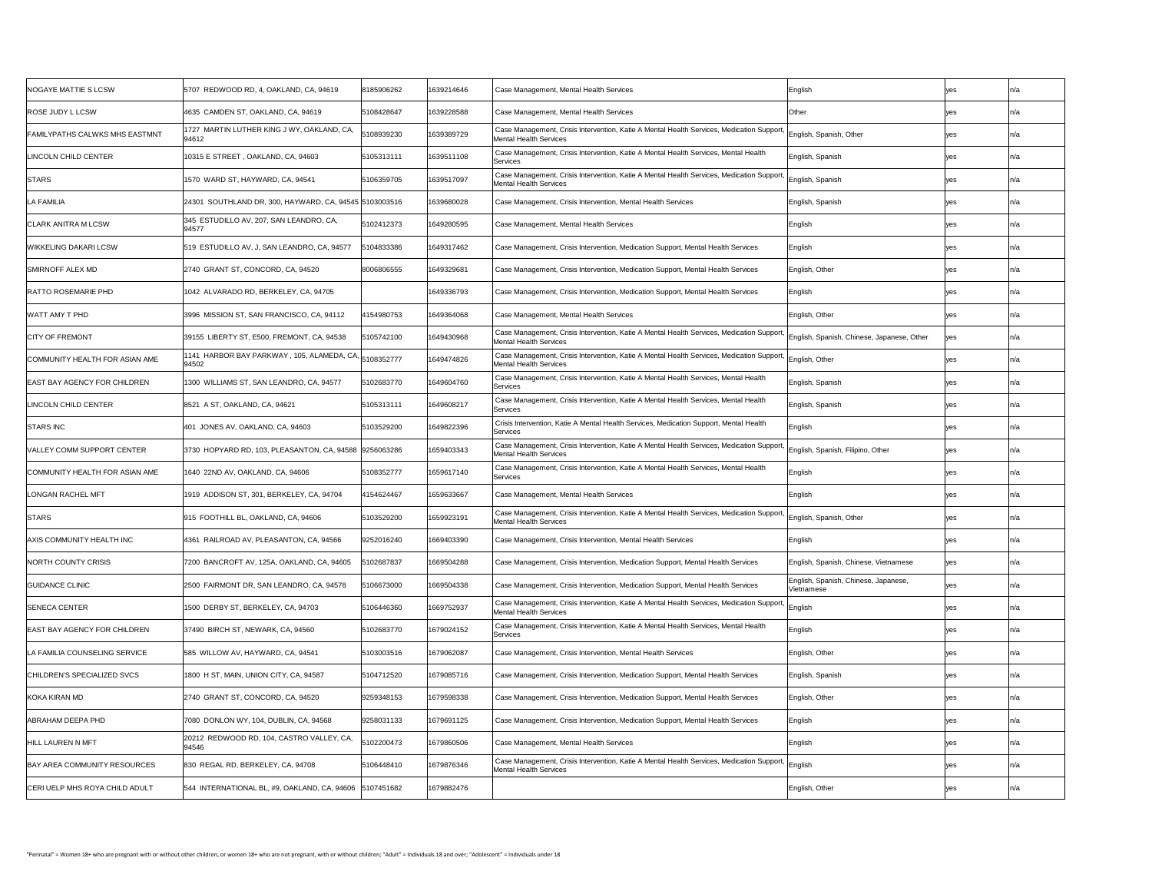| <b>NOGAYE MATTIE S LCSW</b>         | 5707 REDWOOD RD, 4, OAKLAND, CA, 94619                                                       | 8185906262 | 1639214646 | Case Management, Mental Health Services                                                                                                                        | English                                            | yes        | In/a |
|-------------------------------------|----------------------------------------------------------------------------------------------|------------|------------|----------------------------------------------------------------------------------------------------------------------------------------------------------------|----------------------------------------------------|------------|------|
| ROSE JUDY L LCSW                    | 4635 CAMDEN ST, OAKLAND, CA, 94619                                                           | 5108428647 | 1639228588 | Case Management, Mental Health Services                                                                                                                        | <b>Other</b>                                       | yes        | ln/a |
| FAMILYPATHS CALWKS MHS EASTMNT      | 1727 MARTIN LUTHER KING J WY, OAKLAND, CA,<br>94612                                          | 5108939230 | 1639389729 | Case Management, Crisis Intervention, Katie A Mental Health Services, Medication Support,<br>Mental Health Services                                            | English, Spanish, Other                            | <b>yes</b> | In/a |
| LINCOLN CHILD CENTER                | 10315 E STREET, OAKLAND, CA, 94603                                                           | 5105313111 | 1639511108 | Case Management, Crisis Intervention, Katie A Mental Health Services, Mental Health<br>Services                                                                | English, Spanish                                   | <b>yes</b> | ln/a |
| <b>STARS</b>                        | 1570 WARD ST, HAYWARD, CA, 94541                                                             | 5106359705 | 1639517097 | Case Management, Crisis Intervention, Katie A Mental Health Services, Medication Support, English, Spanish<br>Mental Health Services                           |                                                    | <b>yes</b> | In/a |
| <b>LA FAMILIA</b>                   | 24301 SOUTHLAND DR, 300, HAYWARD, CA, 94545 5103003516                                       |            | 1639680028 | Case Management, Crisis Intervention, Mental Health Services                                                                                                   | English, Spanish                                   | <b>ves</b> |      |
| CLARK ANITRA M LCSW                 | 345 ESTUDILLO AV, 207, SAN LEANDRO, CA,<br>94577                                             | 5102412373 | 1649280595 | Case Management, Mental Health Services                                                                                                                        | English                                            | <b>Ves</b> | ln/a |
| WIKKELING DAKARI LCSW               | 519 ESTUDILLO AV, J, SAN LEANDRO, CA, 94577                                                  | 104833386  | 1649317462 | Case Management, Crisis Intervention, Medication Support, Mental Health Services                                                                               | English                                            | yes        | ln/a |
| SMIRNOFF ALEX MD                    | 2740 GRANT ST, CONCORD, CA, 94520                                                            | 8006806555 | 1649329681 | Case Management, Crisis Intervention, Medication Support, Mental Health Services                                                                               | English, Other                                     | <b>yes</b> | ln/a |
| RATTO ROSEMARIE PHD                 | 1042 ALVARADO RD, BERKELEY, CA, 94705                                                        |            | 1649336793 | Case Management, Crisis Intervention, Medication Support, Mental Health Services                                                                               | English                                            | yes        | ln/a |
| WATT AMY T PHD                      | 3996 MISSION ST, SAN FRANCISCO, CA, 94112                                                    | 4154980753 | 1649364068 | Case Management, Mental Health Services                                                                                                                        | English, Other                                     | yes        | ln/a |
| <b>CITY OF FREMONT</b>              | 39155 LIBERTY ST, E500, FREMONT, CA, 94538                                                   | 5105742100 | 1649430968 | Case Management, Crisis Intervention, Katie A Mental Health Services, Medication Support, English, Spanish, Chinese, Japanese, Other<br>Mental Health Services |                                                    | yes        | n/a  |
| COMMUNITY HEALTH FOR ASIAN AME      | $\sqrt{1141}$ HARBOR BAY PARKWAY, 105, ALAMEDA, CA, $\left 5108352777\right\rangle$<br>94502 |            | 1649474826 | Case Management, Crisis Intervention, Katie A Mental Health Services, Medication Support, English, Other<br>Mental Health Services                             |                                                    | <b>yes</b> | ln/a |
| <b>EAST BAY AGENCY FOR CHILDREN</b> | 1300 WILLIAMS ST, SAN LEANDRO, CA, 94577                                                     | 5102683770 | 1649604760 | Case Management, Crisis Intervention, Katie A Mental Health Services, Mental Health<br>Services                                                                | English, Spanish                                   | <b>yes</b> | ln/a |
| LINCOLN CHILD CENTER                | 8521 A ST, OAKLAND, CA, 94621                                                                | 5105313111 | 1649608217 | Case Management, Crisis Intervention, Katie A Mental Health Services, Mental Health<br>Services                                                                | English, Spanish                                   | <b>yes</b> |      |
| <b>STARS INC</b>                    | 401 JONES AV, OAKLAND, CA, 94603                                                             | 5103529200 | 1649822396 | Crisis Intervention, Katie A Mental Health Services, Medication Support, Mental Health<br>Services                                                             | English                                            | <b>ves</b> | ln/a |
| VALLEY COMM SUPPORT CENTER          | 3730 HOPYARD RD, 103, PLEASANTON, CA, 94588  9256063286                                      |            | 1659403343 | Case Management, Crisis Intervention, Katie A Mental Health Services, Medication Support,<br>Mental Health Services                                            | ' English, Spanish, Filipino, Other                | yes        | n/a  |
| COMMUNITY HEALTH FOR ASIAN AME      | 1640 22ND AV, OAKLAND, CA, 94606                                                             | 5108352777 | 1659617140 | Case Management, Crisis Intervention, Katie A Mental Health Services, Mental Health<br>Services                                                                | English                                            | <b>yes</b> | ln/a |
| <b>LONGAN RACHEL MFT</b>            | 1919 ADDISON ST, 301, BERKELEY, CA, 94704                                                    | 4154624467 | 1659633667 | Case Management, Mental Health Services                                                                                                                        | English                                            | <b>ves</b> | ln/a |
| <b>STARS</b>                        | 915 FOOTHILL BL, OAKLAND, CA, 94606                                                          | 5103529200 | 1659923191 | Case Management, Crisis Intervention, Katie A Mental Health Services, Medication Support, English, Spanish, Other<br>Mental Health Services                    |                                                    | yes        |      |
| AXIS COMMUNITY HEALTH INC           | 4361 RAILROAD AV, PLEASANTON, CA, 94566                                                      | 9252016240 | 1669403390 | Case Management, Crisis Intervention, Mental Health Services                                                                                                   | English                                            | <b>yes</b> | n/a  |
| NORTH COUNTY CRISIS                 | 7200 BANCROFT AV, 125A, OAKLAND, CA, 94605                                                   | 102687837  | 1669504288 | Case Management, Crisis Intervention, Medication Support, Mental Health Services                                                                               | English, Spanish, Chinese, Vietnamese              | <b>yes</b> | n/a  |
| <b>GUIDANCE CLINIC</b>              | 2500 FAIRMONT DR, SAN LEANDRO, CA, 94578                                                     | 106673000  | 1669504338 | Case Management, Crisis Intervention, Medication Support, Mental Health Services                                                                               | English, Spanish, Chinese, Japanese,<br>Vietnamese | <b>yes</b> |      |
| <b>SENECA CENTER</b>                | 1500 DERBY ST, BERKELEY, CA, 94703                                                           | 5106446360 | 1669752937 | Case Management, Crisis Intervention, Katie A Mental Health Services, Medication Support, English<br>Mental Health Services                                    |                                                    | <b>yes</b> | ln/a |
| <b>EAST BAY AGENCY FOR CHILDREN</b> | 37490 BIRCH ST, NEWARK, CA, 94560                                                            | 5102683770 | 1679024152 | Case Management, Crisis Intervention, Katie A Mental Health Services, Mental Health<br>Services                                                                | English                                            | yes        |      |
| LA FAMILIA COUNSELING SERVICE       | 585 WILLOW AV, HAYWARD, CA, 94541                                                            | 5103003516 | 1679062087 | Gase Management, Crisis Intervention, Mental Health Services                                                                                                   | English, Other                                     | yes        | ln/a |
| CHILDREN'S SPECIALIZED SVCS         | 1800 H ST, MAIN, UNION CITY, CA, 94587                                                       | 5104712520 | 1679085716 | Case Management, Crisis Intervention, Medication Support, Mental Health Services                                                                               | English, Spanish                                   | <b>Ves</b> | n/a  |
| KOKA KIRAN MD                       | 2740 GRANT ST, CONCORD, CA, 94520                                                            | 9259348153 | 1679598338 | Case Management, Crisis Intervention, Medication Support, Mental Health Services                                                                               | English, Other                                     | <b>ves</b> | ln/a |
| ABRAHAM DEEPA PHD                   | 7080 DONLON WY, 104, DUBLIN, CA, 94568                                                       | 9258031133 | 1679691125 | Case Management, Crisis Intervention, Medication Support, Mental Health Services                                                                               | English                                            | <b>yes</b> |      |
| HILL LAUREN N MFT                   | 20212 REDWOOD RD, 104, CASTRO VALLEY, CA,<br>94546                                           | 5102200473 | 1679860506 | Case Management, Mental Health Services                                                                                                                        | English                                            | <b>Ves</b> | n/a  |
| <b>BAY AREA COMMUNITY RESOURCES</b> | 830 REGAL RD, BERKELEY, CA, 94708                                                            | 5106448410 | 1679876346 | Case Management, Crisis Intervention, Katie A Mental Health Services, Medication Support, English<br>Mental Health Services                                    |                                                    | <b>yes</b> | ın/a |
| CERI UELP MHS ROYA CHILD ADULT      | 544 INTERNATIONAL BL, #9, OAKLAND, CA, 94606   5107451682                                    |            | 1679882476 |                                                                                                                                                                | English, Other                                     | <b>yes</b> | ln/a |
|                                     |                                                                                              |            |            |                                                                                                                                                                |                                                    |            |      |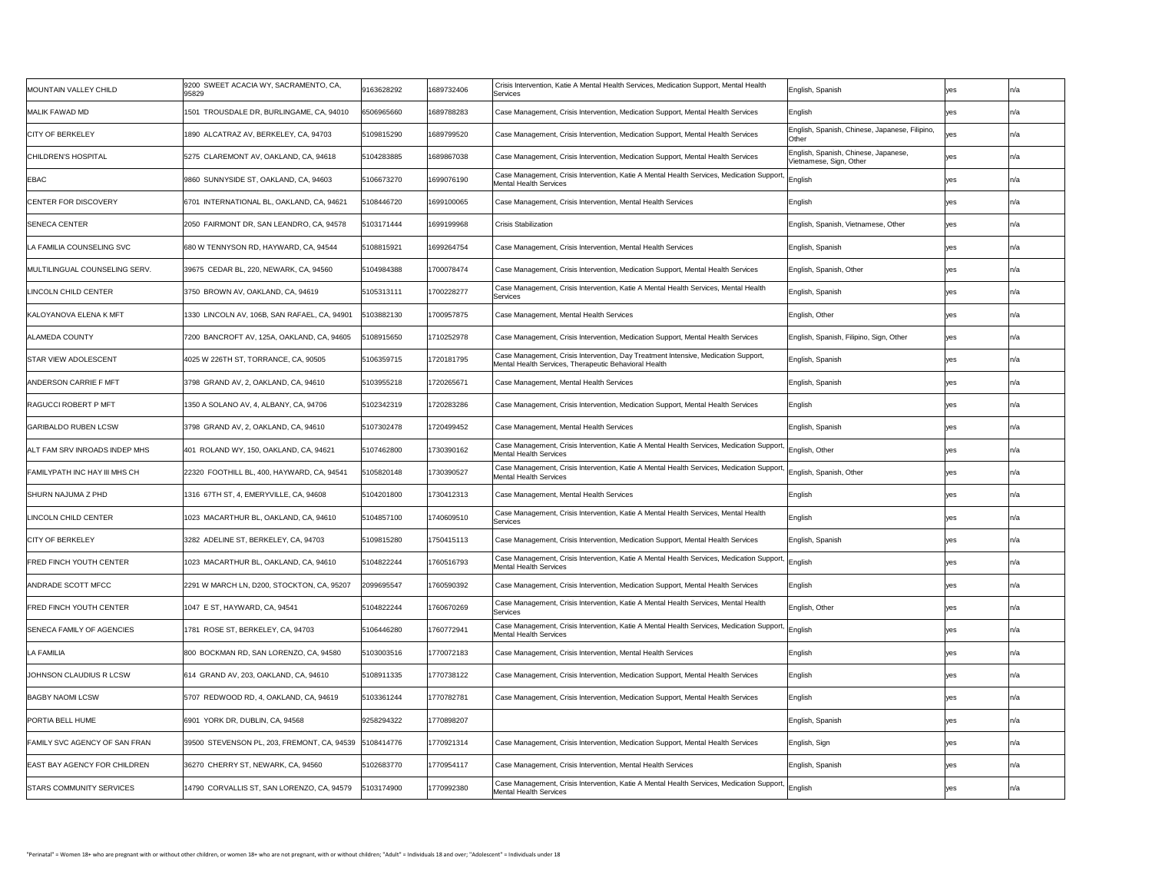| MOUNTAIN VALLEY CHILD                 | 9200 SWEET ACACIA WY, SACRAMENTO, CA,<br>95829         | 9163628292 | 1689732406 | Crisis Intervention, Katie A Mental Health Services, Medication Support, Mental Health<br>Services                                                 | English, Spanish                                                |     | In/a |
|---------------------------------------|--------------------------------------------------------|------------|------------|----------------------------------------------------------------------------------------------------------------------------------------------------|-----------------------------------------------------------------|-----|------|
| <b>MALIK FAWAD MD</b>                 | 1501 TROUSDALE DR, BURLINGAME, CA, 94010               | 6506965660 | 1689788283 | Case Management, Crisis Intervention, Medication Support, Mental Health Services                                                                   | English                                                         |     |      |
| <b>CITY OF BERKELEY</b>               | 1890 ALCATRAZ AV, BERKELEY, CA, 94703                  | 5109815290 | 1689799520 | Case Management, Crisis Intervention, Medication Support, Mental Health Services                                                                   | English, Spanish, Chinese, Japanese, Filipino,<br><b>Other</b>  | yes |      |
| CHILDREN'S HOSPITAL                   | 5275 CLAREMONT AV, OAKLAND, CA, 94618                  | 5104283885 | 1689867038 | Case Management, Crisis Intervention, Medication Support, Mental Health Services                                                                   | English, Spanish, Chinese, Japanese,<br>Vietnamese, Sign, Other |     | In/a |
| <b>EBAC</b>                           | 9860 SUNNYSIDE ST, OAKLAND, CA, 94603                  | 5106673270 | 1699076190 | Case Management, Crisis Intervention, Katie A Mental Health Services, Medication Support, English<br>Mental Health Services                        |                                                                 |     | In/a |
| <b>CENTER FOR DISCOVERY</b>           | 6701 INTERNATIONAL BL, OAKLAND, CA, 94621              | 5108446720 | 1699100065 | Case Management, Crisis Intervention, Mental Health Services                                                                                       | English                                                         |     | ln/2 |
| <b>ISENECA CENTER</b>                 | 2050 FAIRMONT DR, SAN LEANDRO, CA, 94578               | 5103171444 | 1699199968 | <b>Crisis Stabilization</b>                                                                                                                        | English, Spanish, Vietnamese, Other                             | yes |      |
| LA FAMILIA COUNSELING SVC             | 680 W TENNYSON RD, HAYWARD, CA, 94544                  | 5108815921 | 1699264754 | Case Management, Crisis Intervention, Mental Health Services                                                                                       | English, Spanish                                                |     | In/a |
| <b>IMULTILINGUAL COUNSELING SERV.</b> | 39675 CEDAR BL, 220, NEWARK, CA, 94560                 | 5104984388 | 1700078474 | Case Management, Crisis Intervention, Medication Support, Mental Health Services                                                                   | English, Spanish, Other                                         |     | In/a |
| LINCOLN CHILD CENTER                  | 3750 BROWN AV, OAKLAND, CA, 94619                      | 5105313111 | 1700228277 | Case Management, Crisis Intervention, Katie A Mental Health Services, Mental Health<br>Services                                                    | English, Spanish                                                |     |      |
| KALOYANOVA ELENA K MFT                | 1330 LINCOLN AV, 106B, SAN RAFAEL, CA, 94901           | 103882130  | 1700957875 | Case Management, Mental Health Services                                                                                                            | English, Other                                                  |     |      |
| <b>ALAMEDA COUNTY</b>                 | 7200 BANCROFT AV, 125A, OAKLAND, CA, 94605             | 108915650  | 1710252978 | Case Management, Crisis Intervention, Medication Support, Mental Health Services                                                                   | English, Spanish, Filipino, Sign, Other                         | yes |      |
| <b>STAR VIEW ADOLESCENT</b>           | 4025 W 226TH ST, TORRANCE, CA, 90505                   | 5106359715 | 1720181795 | Case Management, Crisis Intervention, Day Treatment Intensive, Medication Support,<br>Mental Health Services, Therapeutic Behavioral Health        | English, Spanish                                                |     |      |
| <b>ANDERSON CARRIE F MFT</b>          | 3798 GRAND AV, 2, OAKLAND, CA, 94610                   | 5103955218 | 1720265671 | Case Management, Mental Health Services                                                                                                            | English, Spanish                                                |     | In/a |
| <b>RAGUCCI ROBERT P MFT</b>           | 1350 A SOLANO AV, 4, ALBANY, CA, 94706                 | 5102342319 | 1720283286 | Case Management, Crisis Intervention, Medication Support, Mental Health Services                                                                   | English                                                         |     |      |
| <b>GARIBALDO RUBEN LCSW</b>           | 3798 GRAND AV, 2, OAKLAND, CA, 94610                   | 5107302478 | 1720499452 | Case Management, Mental Health Services                                                                                                            | English, Spanish                                                |     |      |
| ALT FAM SRV INROADS INDEP MHS         | 401 ROLAND WY, 150, OAKLAND, CA, 94621                 | 5107462800 | 1730390162 | Case Management, Crisis Intervention, Katie A Mental Health Services, Medication Support, English, Other<br><b>Mental Health Services</b>          |                                                                 |     |      |
| FAMILYPATH INC HAY III MHS CH         | 22320 FOOTHILL BL, 400, HAYWARD, CA, 94541             | 5105820148 | 1730390527 | Case Management, Crisis Intervention, Katie A Mental Health Services, Medication Support, English, Spanish, Other<br><b>Mental Health Services</b> |                                                                 |     | In/a |
| <b>SHURN NAJUMA Z PHD</b>             | 1316 67TH ST, 4, EMERYVILLE, CA, 94608                 | 5104201800 | 1730412313 | Case Management, Mental Health Services                                                                                                            | English                                                         |     |      |
| LINCOLN CHILD CENTER                  | 1023 MACARTHUR BL, OAKLAND, CA, 94610                  | 5104857100 | 1740609510 | Case Management, Crisis Intervention, Katie A Mental Health Services, Mental Health<br>Services                                                    | English                                                         |     |      |
| <b>CITY OF BERKELEY</b>               | 3282 ADELINE ST, BERKELEY, CA, 94703                   | 5109815280 | 1750415113 | Case Management, Crisis Intervention, Medication Support, Mental Health Services                                                                   | English, Spanish                                                |     |      |
| <b>FRED FINCH YOUTH CENTER</b>        | 1023 MACARTHUR BL, OAKLAND, CA, 94610                  | 5104822244 | 1760516793 | Case Management, Crisis Intervention, Katie A Mental Health Services, Medication Support, English<br><b>Mental Health Services</b>                 |                                                                 |     |      |
| ANDRADE SCOTT MFCC                    | 2291 W MARCH LN, D200, STOCKTON, CA, 95207             | 2099695547 | 1760590392 | Case Management, Crisis Intervention, Medication Support, Mental Health Services                                                                   | English                                                         |     |      |
| <b>FRED FINCH YOUTH CENTER</b>        | 1047 E ST, HAYWARD, CA, 94541                          | 5104822244 | 1760670269 | Case Management, Crisis Intervention, Katie A Mental Health Services, Mental Health<br>Services                                                    | English, Other                                                  |     |      |
| SENECA FAMILY OF AGENCIES             | 1781 ROSE ST, BERKELEY, CA, 94703                      | 5106446280 | 1760772941 | Case Management, Crisis Intervention, Katie A Mental Health Services, Medication Support, English<br><b>Mental Health Services</b>                 |                                                                 |     |      |
| <b>LA FAMILIA</b>                     | 800 BOCKMAN RD, SAN LORENZO, CA, 94580                 | 5103003516 | 1770072183 | Case Management, Crisis Intervention, Mental Health Services                                                                                       | English                                                         |     |      |
| JOHNSON CLAUDIUS R LCSW               | 614 GRAND AV, 203, OAKLAND, CA, 94610                  | 5108911335 | 1770738122 | Case Management, Crisis Intervention, Medication Support, Mental Health Services                                                                   | English                                                         |     |      |
| <b>BAGBY NAOMI LCSW</b>               | 5707 REDWOOD RD, 4, OAKLAND, CA, 94619                 | 5103361244 | 1770782781 | Case Management, Crisis Intervention, Medication Support, Mental Health Services                                                                   | English                                                         |     |      |
| <b>PORTIA BELL HUME</b>               | 6901 YORK DR, DUBLIN, CA, 94568                        | 9258294322 | 1770898207 |                                                                                                                                                    | English, Spanish                                                |     |      |
| FAMILY SVC AGENCY OF SAN FRAN         | 39500 STEVENSON PL, 203, FREMONT, CA, 94539 5108414776 |            | 1770921314 | Case Management, Crisis Intervention, Medication Support, Mental Health Services                                                                   | English, Sign                                                   |     |      |
| <b>EAST BAY AGENCY FOR CHILDREN</b>   | 36270 CHERRY ST, NEWARK, CA, 94560                     | 5102683770 | 1770954117 | Case Management, Crisis Intervention, Mental Health Services                                                                                       | English, Spanish                                                |     |      |
| STARS COMMUNITY SERVICES              | 14790 CORVALLIS ST, SAN LORENZO, CA, 94579             | 103174900  | 1770992380 | Case Management, Crisis Intervention, Katie A Mental Health Services, Medication Support, English<br><b>Mental Health Services</b>                 |                                                                 |     |      |
|                                       |                                                        |            |            |                                                                                                                                                    |                                                                 |     |      |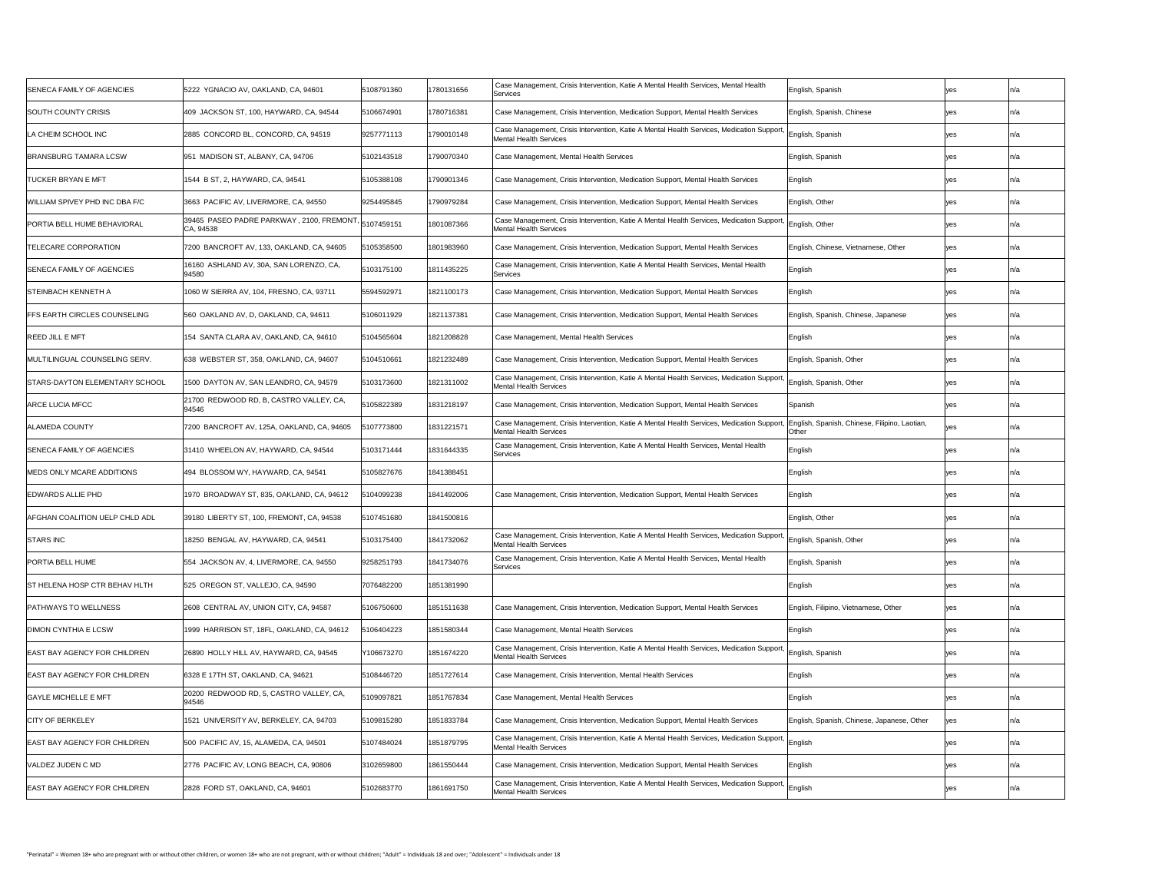| SENECA FAMILY OF AGENCIES             | 5222 YGNACIO AV, OAKLAND, CA, 94601                               | 5108791360 | 1780131656 | Case Management, Crisis Intervention, Katie A Mental Health Services, Mental Health<br>Services                                                                    | English, Spanish                           |     | In/a |
|---------------------------------------|-------------------------------------------------------------------|------------|------------|--------------------------------------------------------------------------------------------------------------------------------------------------------------------|--------------------------------------------|-----|------|
| SOUTH COUNTY CRISIS                   | 409 JACKSON ST, 100, HAYWARD, CA, 94544                           | 5106674901 | 1780716381 | Case Management, Crisis Intervention, Medication Support, Mental Health Services                                                                                   | English, Spanish, Chinese                  |     |      |
| LA CHEIM SCHOOL INC                   | 2885 CONCORD BL, CONCORD, CA, 94519                               | 9257771113 | 1790010148 | Case Management, Crisis Intervention, Katie A Mental Health Services, Medication Support, English, Spanish<br>Mental Health Services                               |                                            |     |      |
| <b>BRANSBURG TAMARA LCSW</b>          | 951 MADISON ST, ALBANY, CA, 94706                                 | 5102143518 | 1790070340 | Case Management, Mental Health Services                                                                                                                            | English, Spanish                           |     | In/a |
| <b>TUCKER BRYAN E MFT</b>             | 1544 B ST, 2, HAYWARD, CA, 94541                                  | 5105388108 | 1790901346 | Case Management, Crisis Intervention, Medication Support, Mental Health Services                                                                                   | English                                    |     | In/a |
| WILLIAM SPIVEY PHD INC DBA F/C        | 3663 PACIFIC AV, LIVERMORE, CA, 94550                             | 9254495845 | 1790979284 | Case Management, Crisis Intervention, Medication Support, Mental Health Services                                                                                   | English, Other                             |     | In/a |
| <b>PORTIA BELL HUME BEHAVIORAL</b>    | 39465 PASEO PADRE PARKWAY, 2100, FREMONT, 5107459151<br>CA, 94538 |            | 1801087366 | Case Management, Crisis Intervention, Katie A Mental Health Services, Medication Support, English, Other<br>Mental Health Services                                 |                                            |     |      |
| <b>TELECARE CORPORATION</b>           | 7200 BANCROFT AV, 133, OAKLAND, CA, 94605                         | 5105358500 | 1801983960 | Case Management, Crisis Intervention, Medication Support, Mental Health Services                                                                                   | English, Chinese, Vietnamese, Other        | yes |      |
| SENECA FAMILY OF AGENCIES             | 16160 ASHLAND AV, 30A, SAN LORENZO, CA,<br>94580                  | 5103175100 | 1811435225 | Case Management, Crisis Intervention, Katie A Mental Health Services, Mental Health<br>Services                                                                    | English                                    |     | In/a |
| <b>STEINBACH KENNETH A</b>            | 1060 W SIERRA AV, 104, FRESNO, CA, 93711                          | 5594592971 | 1821100173 | Case Management, Crisis Intervention, Medication Support, Mental Health Services                                                                                   | English                                    |     | In/a |
| <b>IFFS EARTH CIRCLES COUNSELING</b>  | 560 OAKLAND AV, D, OAKLAND, CA, 94611                             | 5106011929 | 1821137381 | Case Management, Crisis Intervention, Medication Support, Mental Health Services                                                                                   | English, Spanish, Chinese, Japanese        | yes |      |
| REED JILL E MFT                       | 154 SANTA CLARA AV, OAKLAND, CA, 94610                            | 5104565604 | 1821208828 | Case Management, Mental Health Services                                                                                                                            | English                                    |     |      |
| <b>IMULTILINGUAL COUNSELING SERV.</b> | 638 WEBSTER ST, 358, OAKLAND, CA, 94607                           | 5104510661 | 1821232489 | Case Management, Crisis Intervention, Medication Support, Mental Health Services                                                                                   | English, Spanish, Other                    |     |      |
| <b>STARS-DAYTON ELEMENTARY SCHOOL</b> | 1500 DAYTON AV, SAN LEANDRO, CA, 94579                            | 5103173600 | 1821311002 | Case Management, Crisis Intervention, Katie A Mental Health Services, Medication Support, English, Spanish, Other<br>Mental Health Services                        |                                            |     |      |
| <b>ARCE LUCIA MFCC</b>                | 21700 REDWOOD RD, B, CASTRO VALLEY, CA,<br>94546                  | 105822389  | 1831218197 | Case Management, Crisis Intervention, Medication Support, Mental Health Services                                                                                   | Spanish                                    |     |      |
| ALAMEDA COUNTY                        | 7200 BANCROFT AV, 125A, OAKLAND, CA, 94605                        | 107773800  | 1831221571 | Case Management, Crisis Intervention, Katie A Mental Health Services, Medication Support,  English, Spanish, Chinese, Filipino, Laotian,<br>Mental Health Services | <b>Other</b>                               |     |      |
| <b>SENECA FAMILY OF AGENCIES</b>      | 31410 WHEELON AV, HAYWARD, CA, 94544                              | 5103171444 | 1831644335 | Case Management, Crisis Intervention, Katie A Mental Health Services, Mental Health<br>Services                                                                    | English                                    |     |      |
| MEDS ONLY MCARE ADDITIONS             | 494 BLOSSOM WY, HAYWARD, CA, 94541                                | 5105827676 | 1841388451 |                                                                                                                                                                    | English                                    |     | In/a |
| EDWARDS ALLIE PHD                     | 1970 BROADWAY ST, 835, OAKLAND, CA, 94612                         | 104099238  | 1841492006 | Case Management, Crisis Intervention, Medication Support, Mental Health Services                                                                                   | English                                    |     | In/a |
| AFGHAN COALITION UELP CHLD ADL        | 39180 LIBERTY ST, 100, FREMONT, CA, 94538                         | 5107451680 | 1841500816 |                                                                                                                                                                    | English, Other                             |     |      |
| <b>STARS INC</b>                      | 18250 BENGAL AV, HAYWARD, CA, 94541                               | 5103175400 | 1841732062 | Case Management, Crisis Intervention, Katie A Mental Health Services, Medication Support, English, Spanish, Other<br>Mental Health Services                        |                                            |     |      |
| <b>PORTIA BELL HUME</b>               | 554 JACKSON AV, 4, LIVERMORE, CA, 94550                           | 9258251793 | 1841734076 | Case Management, Crisis Intervention, Katie A Mental Health Services, Mental Health<br>Services                                                                    | English, Spanish                           |     |      |
| <b>ST HELENA HOSP CTR BEHAV HLTH</b>  | 525 OREGON ST, VALLEJO, CA, 94590                                 | 7076482200 | 1851381990 |                                                                                                                                                                    | English                                    |     |      |
| <b>PATHWAYS TO WELLNESS</b>           | 2608 CENTRAL AV, UNION CITY, CA, 94587                            | 5106750600 | 1851511638 | Case Management, Crisis Intervention, Medication Support, Mental Health Services                                                                                   | English, Filipino, Vietnamese, Other       | ves |      |
| <b>DIMON CYNTHIA E LCSW</b>           | 1999 HARRISON ST, 18FL, OAKLAND, CA, 94612                        | 5106404223 | 1851580344 | Case Management, Mental Health Services                                                                                                                            | English                                    |     |      |
| <b>EAST BAY AGENCY FOR CHILDREN</b>   | 26890 HOLLY HILL AV, HAYWARD, CA, 94545                           | Y106673270 | 1851674220 | Case Management, Crisis Intervention, Katie A Mental Health Services, Medication Support, English, Spanish<br>Mental Health Services                               |                                            |     |      |
| <b>EAST BAY AGENCY FOR CHILDREN</b>   | 6328 E 17TH ST, OAKLAND, CA, 94621                                | 5108446720 | 1851727614 | Case Management, Crisis Intervention, Mental Health Services                                                                                                       | English                                    |     |      |
| <b>GAYLE MICHELLE E MFT</b>           | 20200 REDWOOD RD, 5, CASTRO VALLEY, CA,<br>94546                  | 5109097821 | 1851767834 | Case Management, Mental Health Services                                                                                                                            | English                                    |     | In/a |
| <b>CITY OF BERKELEY</b>               | 1521 UNIVERSITY AV, BERKELEY, CA, 94703                           | 5109815280 | 1851833784 | Case Management, Crisis Intervention, Medication Support, Mental Health Services                                                                                   | English, Spanish, Chinese, Japanese, Other |     |      |
| <b>EAST BAY AGENCY FOR CHILDREN</b>   | 500 PACIFIC AV, 15, ALAMEDA, CA, 94501                            | 5107484024 | 1851879795 | Case Management, Crisis Intervention, Katie A Mental Health Services, Medication Support, English<br>Mental Health Services                                        |                                            |     |      |
| VALDEZ JUDEN C MD                     | 2776 PACIFIC AV, LONG BEACH, CA, 90806                            | 3102659800 | 1861550444 | Case Management, Crisis Intervention, Medication Support, Mental Health Services                                                                                   | English                                    |     |      |
| <b>EAST BAY AGENCY FOR CHILDREN</b>   | 2828 FORD ST, OAKLAND, CA, 94601                                  | 5102683770 | 1861691750 | Case Management, Crisis Intervention, Katie A Mental Health Services, Medication Support, English<br><b>Mental Health Services</b>                                 |                                            |     |      |
|                                       |                                                                   |            |            |                                                                                                                                                                    |                                            |     |      |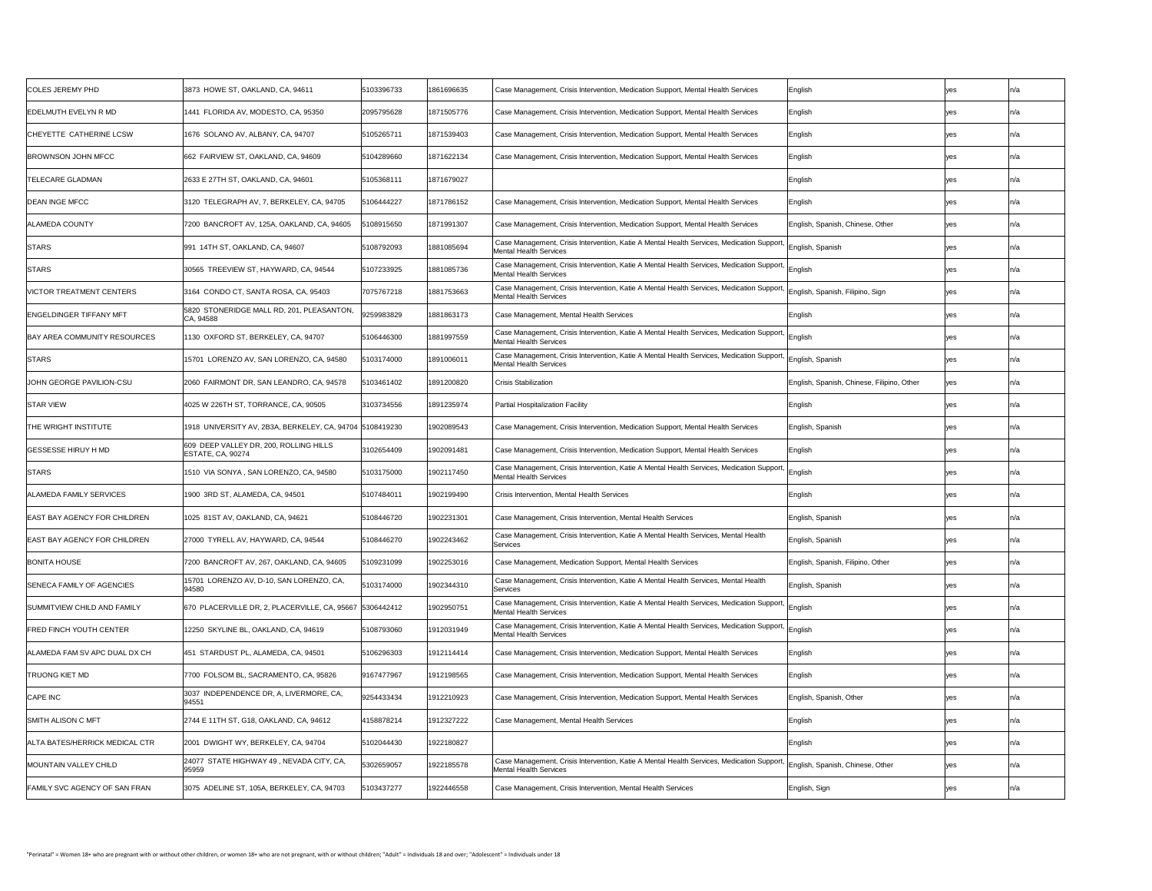| COLES JEREMY PHD                    | 3873 HOWE ST, OAKLAND, CA, 94611                                   | 5103396733 | 1861696635 | Case Management, Crisis Intervention, Medication Support, Mental Health Services                                                                     | English                                    |            | ln/a |
|-------------------------------------|--------------------------------------------------------------------|------------|------------|------------------------------------------------------------------------------------------------------------------------------------------------------|--------------------------------------------|------------|------|
| <b>EDELMUTH EVELYN R MD</b>         | 1441 FLORIDA AV, MODESTO, CA, 95350                                | 2095795628 | 1871505776 | Case Management, Crisis Intervention, Medication Support, Mental Health Services                                                                     | English                                    | yes        | n/a  |
| CHEYETTE CATHERINE LCSW             | 1676 SOLANO AV, ALBANY, CA, 94707                                  | 5105265711 | 1871539403 | Case Management, Crisis Intervention, Medication Support, Mental Health Services                                                                     | English                                    | yes        | ln/a |
| <b>BROWNSON JOHN MFCC</b>           | 662 FAIRVIEW ST, OAKLAND, CA, 94609                                | 5104289660 | 1871622134 | Case Management, Crisis Intervention, Medication Support, Mental Health Services                                                                     | English                                    | <b>yes</b> | ln/a |
| <b>TELECARE GLADMAN</b>             | 2633 E 27TH ST, OAKLAND, CA, 94601                                 | 5105368111 | 1871679027 |                                                                                                                                                      | English                                    | <b>yes</b> | In/a |
| <b>DEAN INGE MFCC</b>               | 3120 TELEGRAPH AV, 7, BERKELEY, CA, 94705                          | 5106444227 | 1871786152 | Case Management, Crisis Intervention, Medication Support, Mental Health Services                                                                     | English                                    | <b>ves</b> |      |
| <b>ALAMEDA COUNTY</b>               | 7200 BANCROFT AV, 125A, OAKLAND, CA, 94605                         | 108915650  | 1871991307 | Case Management, Crisis Intervention, Medication Support, Mental Health Services                                                                     | English, Spanish, Chinese, Other           | yes        |      |
| <b>STARS</b>                        | 991   14TH ST, OAKLAND, CA, 94607                                  | 5108792093 | 1881085694 | Case Management, Crisis Intervention, Katie A Mental Health Services, Medication Support, English, Spanish<br>Mental Health Services                 |                                            | yes        | n/a  |
| <b>STARS</b>                        | 30565 TREEVIEW ST, HAYWARD, CA, 94544                              | 5107233925 | 1881085736 | Case Management, Crisis Intervention, Katie A Mental Health Services, Medication Support, English<br>Mental Health Services                          |                                            | <b>yes</b> | ln/a |
| VICTOR TREATMENT CENTERS            | 3164 CONDO CT, SANTA ROSA, CA, 95403                               | 7075767218 | 1881753663 | Case Management, Crisis Intervention, Katie A Mental Health Services, Medication Support, English, Spanish, Filipino, Sign<br>Mental Health Services |                                            | <b>Ves</b> | ln/a |
| ENGELDINGER TIFFANY MFT             | 5820 STONERIDGE MALL RD, 201, PLEASANTON,<br>CA, 94588             | 9259983829 | 1881863173 | Case Management, Mental Health Services                                                                                                              | English                                    | yes        | ln/a |
| <b>BAY AREA COMMUNITY RESOURCES</b> | 1130 OXFORD ST, BERKELEY, CA, 94707                                | 5106446300 | 1881997559 | Case Management, Crisis Intervention, Katie A Mental Health Services, Medication Support, English<br>Mental Health Services                          |                                            | yes        | ln/a |
| <b>STARS</b>                        | 15701 LORENZO AV, SAN LORENZO, CA, 94580                           | 5103174000 | 1891006011 | Case Management, Crisis Intervention, Katie A Mental Health Services, Medication Support, English, Spanish<br>Mental Health Services                 |                                            | <b>yes</b> | ln/a |
| <b>JOHN GEORGE PAVILION-CSU</b>     | 2060 FAIRMONT DR, SAN LEANDRO, CA, 94578                           | 103461402  | 1891200820 | <b>Crisis Stabilization</b>                                                                                                                          | English, Spanish, Chinese, Filipino, Other | <b>Ves</b> | ln/a |
| <b>STAR VIEW</b>                    | 4025 W 226TH ST, TORRANCE, CA, 90505                               | 3103734556 | 1891235974 | Partial Hospitalization Facility                                                                                                                     | English                                    | <b>ves</b> | ln/a |
| <b>THE WRIGHT INSTITUTE</b>         | 1918 UNIVERSITY AV, 2B3A, BERKELEY, CA, 94704 5108419230           |            | 1902089543 | Case Management, Crisis Intervention, Medication Support, Mental Health Services                                                                     | English, Spanish                           | <b>ves</b> | ln/a |
| <b>GESSESSE HIRUY H MD</b>          | 609 DEEP VALLEY DR, 200, ROLLING HILLS<br><b>ESTATE, CA, 90274</b> | 3102654409 | 1902091481 | Case Management, Crisis Intervention, Medication Support, Mental Health Services                                                                     | English                                    | yes        | ln/a |
| <b>STARS</b>                        | 1510 VIA SONYA, SAN LORENZO, CA, 94580                             | 5103175000 | 1902117450 | Case Management, Crisis Intervention, Katie A Mental Health Services, Medication Support, English<br><b>Mental Health Services</b>                   |                                            | <b>yes</b> | ln/a |
| ALAMEDA FAMILY SERVICES             | 1900 3RD ST, ALAMEDA, CA, 94501                                    | 5107484011 | 1902199490 | <b>Crisis Intervention, Mental Health Services</b>                                                                                                   | English                                    | <b>ves</b> | ln/a |
| <b>EAST BAY AGENCY FOR CHILDREN</b> | 1025 81ST AV, OAKLAND, CA, 94621                                   | 5108446720 | 1902231301 | Case Management, Crisis Intervention, Mental Health Services                                                                                         | English, Spanish                           | yes        | n/a  |
| EAST BAY AGENCY FOR CHILDREN        | 27000 TYRELL AV, HAYWARD, CA, 94544                                | 5108446270 | 1902243462 | Case Management, Crisis Intervention, Katie A Mental Health Services, Mental Health<br>Services                                                      | English, Spanish                           | yes        | n/a  |
| <b>BONITA HOUSE</b>                 | 7200 BANCROFT AV, 267, OAKLAND, CA, 94605                          | 5109231099 | 1902253016 | Case Management, Medication Support, Mental Health Services                                                                                          | English, Spanish, Filipino, Other          | yes        | ın/a |
| <b>SENECA FAMILY OF AGENCIES</b>    | 15701 LORENZO AV, D-10, SAN LORENZO, CA,<br>94580                  | 5103174000 | 1902344310 | Case Management, Crisis Intervention, Katie A Mental Health Services, Mental Health<br>Services                                                      | English, Spanish                           | <b>yes</b> | ln/a |
| SUMMITVIEW CHILD AND FAMILY         | 670 PLACERVILLE DR, 2, PLACERVILLE, CA, 95667 5306442412           |            | 1902950751 | Case Management, Crisis Intervention, Katie A Mental Health Services, Medication Support, English<br>Mental Health Services                          |                                            | <b>yes</b> | ln/a |
| <b>FRED FINCH YOUTH CENTER</b>      | 12250 SKYLINE BL, OAKLAND, CA, 94619                               | 5108793060 | 1912031949 | Case Management, Crisis Intervention, Katie A Mental Health Services, Medication Support, English<br>Mental Health Services                          |                                            | ves        |      |
| ALAMEDA FAM SV APC DUAL DX CH       | 451 STARDUST PL, ALAMEDA, CA, 94501                                | 5106296303 | 1912114414 | Case Management, Crisis Intervention, Medication Support, Mental Health Services                                                                     | English                                    | yes        | ln/a |
| <b>TRUONG KIET MD</b>               | 7700 FOLSOM BL, SACRAMENTO, CA, 95826                              | 9167477967 | 1912198565 | Case Management, Crisis Intervention, Medication Support, Mental Health Services                                                                     | English                                    | <b>Ves</b> | n/a  |
| CAPE INC                            | 3037 INDEPENDENCE DR, A, LIVERMORE, CA,<br>94551                   | 9254433434 | 1912210923 | Case Management, Crisis Intervention, Medication Support, Mental Health Services                                                                     | English, Spanish, Other                    |            | ln/a |
| SMITH ALISON C MFT                  | 2744 E 11TH ST, G18, OAKLAND, CA, 94612                            | 4158878214 | 1912327222 | Case Management, Mental Health Services                                                                                                              | English                                    | <b>yes</b> |      |
| ALTA BATES/HERRICK MEDICAL CTR      | 2001 DWIGHT WY, BERKELEY, CA, 94704                                | 5102044430 | 1922180827 |                                                                                                                                                      | English                                    | <b>Ves</b> | n/a  |
| MOUNTAIN VALLEY CHILD               | 24077 STATE HIGHWAY 49, NEVADA CITY, CA,<br>95959                  | 5302659057 | 1922185578 | Case Management, Crisis Intervention, Katie A Mental Health Services, Medication Support, English, Spanish, Chinese, Other<br>Mental Health Services |                                            | yes        |      |
| FAMILY SVC AGENCY OF SAN FRAN       | 3075 ADELINE ST, 105A, BERKELEY, CA, 94703                         | 5103437277 | 1922446558 | Case Management, Crisis Intervention, Mental Health Services                                                                                         | English, Sign                              | <b>yes</b> | ln/a |
|                                     |                                                                    |            |            |                                                                                                                                                      |                                            |            |      |